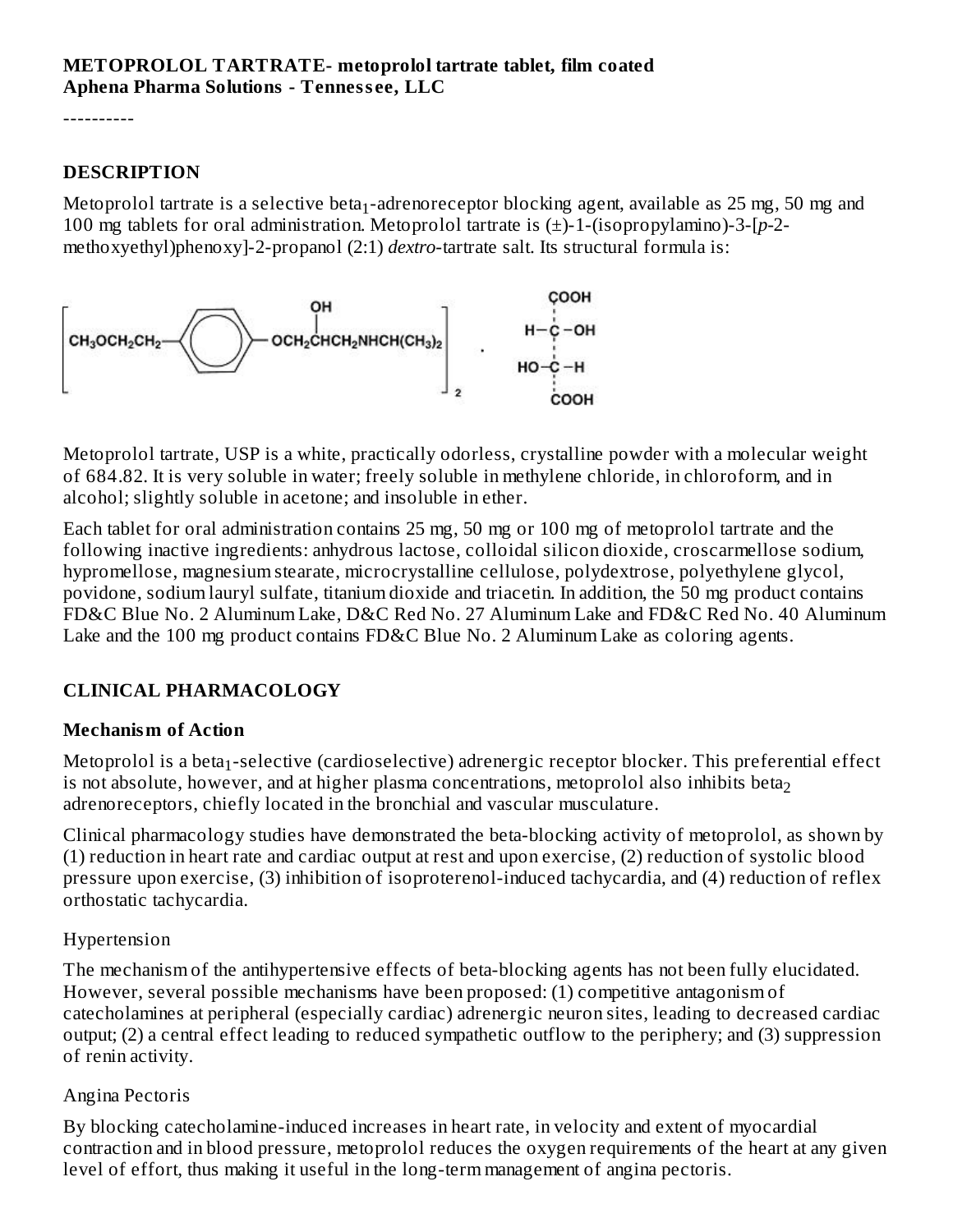----------

#### **DESCRIPTION**

Metoprolol tartrate is a selective beta $_1$ -adrenoreceptor blocking agent, available as 25 mg, 50 mg and 100 mg tablets for oral administration. Metoprolol tartrate is (±)-1-(isopropylamino)-3-[*p-*2 methoxyethyl)phenoxy]-2-propanol (2:1) *dextro*-tartrate salt. Its structural formula is:



Metoprolol tartrate, USP is a white, practically odorless, crystalline powder with a molecular weight of 684.82. It is very soluble in water; freely soluble in methylene chloride, in chloroform, and in alcohol; slightly soluble in acetone; and insoluble in ether.

Each tablet for oral administration contains 25 mg, 50 mg or 100 mg of metoprolol tartrate and the following inactive ingredients: anhydrous lactose, colloidal silicon dioxide, croscarmellose sodium, hypromellose, magnesium stearate, microcrystalline cellulose, polydextrose, polyethylene glycol, povidone, sodium lauryl sulfate, titanium dioxide and triacetin. In addition, the 50 mg product contains FD&C Blue No. 2 Aluminum Lake, D&C Red No. 27 Aluminum Lake and FD&C Red No. 40 Aluminum Lake and the 100 mg product contains FD&C Blue No. 2 Aluminum Lake as coloring agents.

## **CLINICAL PHARMACOLOGY**

#### **Mechanism of Action**

Metoprolol is a beta $_1$ -selective (cardioselective) adrenergic receptor blocker. This preferential effect is not absolute, however, and at higher plasma concentrations, metoprolol also inhibits beta $_{\rm 2}$ adrenoreceptors, chiefly located in the bronchial and vascular musculature.

Clinical pharmacology studies have demonstrated the beta-blocking activity of metoprolol, as shown by (1) reduction in heart rate and cardiac output at rest and upon exercise, (2) reduction of systolic blood pressure upon exercise, (3) inhibition of isoproterenol-induced tachycardia, and (4) reduction of reflex orthostatic tachycardia.

#### Hypertension

The mechanism of the antihypertensive effects of beta-blocking agents has not been fully elucidated. However, several possible mechanisms have been proposed: (1) competitive antagonism of catecholamines at peripheral (especially cardiac) adrenergic neuron sites, leading to decreased cardiac output; (2) a central effect leading to reduced sympathetic outflow to the periphery; and (3) suppression of renin activity.

#### Angina Pectoris

By blocking catecholamine-induced increases in heart rate, in velocity and extent of myocardial contraction and in blood pressure, metoprolol reduces the oxygen requirements of the heart at any given level of effort, thus making it useful in the long-term management of angina pectoris.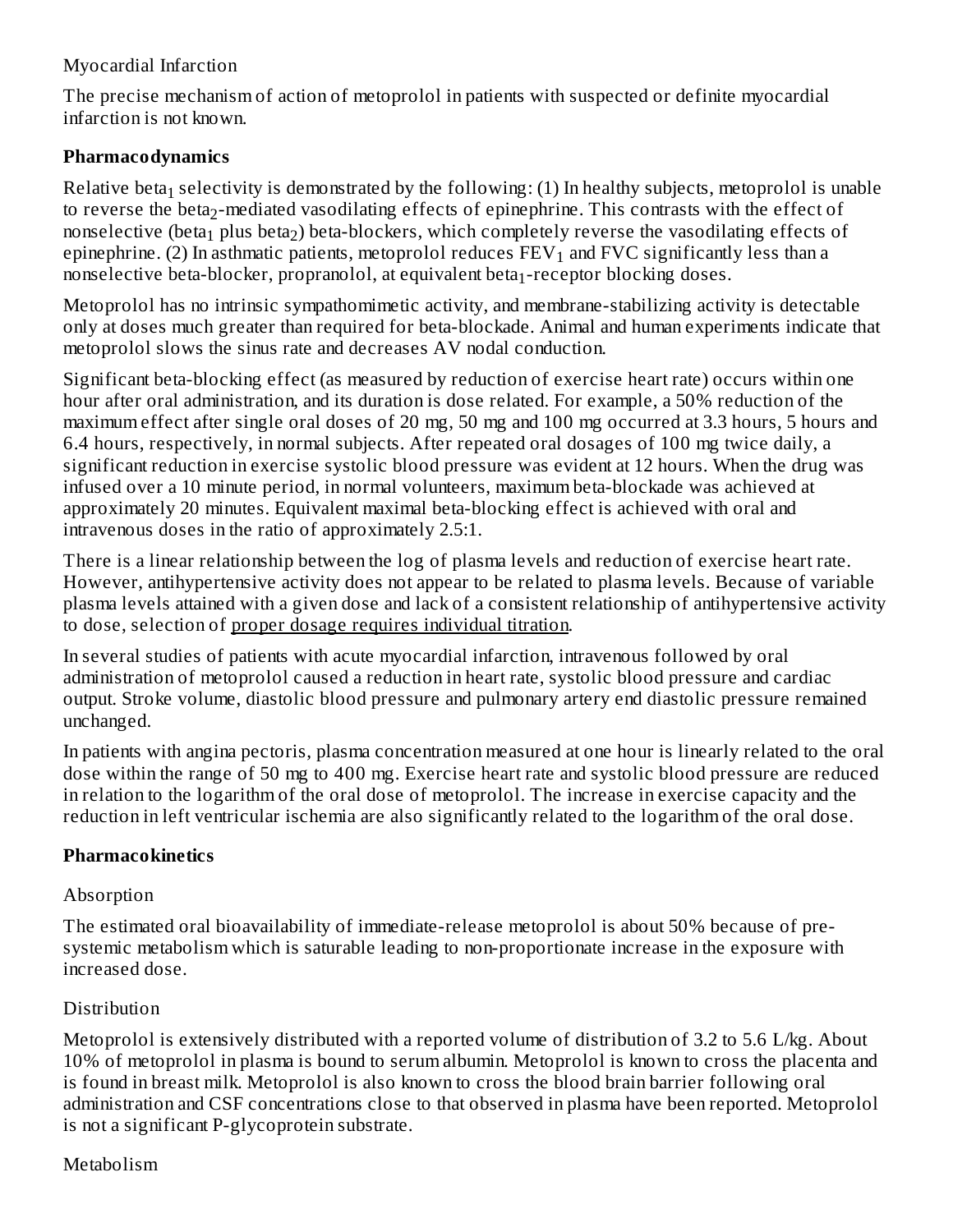#### Myocardial Infarction

The precise mechanism of action of metoprolol in patients with suspected or definite myocardial infarction is not known.

#### **Pharmacodynamics**

Relative beta $_1$  selectivity is demonstrated by the following: (1) In healthy subjects, metoprolol is unable to reverse the beta $_2$ -mediated vasodilating effects of epinephrine. This contrasts with the effect of nonselective (beta $_{\rm 1}$  plus beta $_{\rm 2}$ ) beta-blockers, which completely reverse the vasodilating effects of epinephrine. (2) In asthmatic patients, metoprolol reduces  $\text{FEV}_1$  and  $\text{FVC}$  significantly less than a nonselective beta-blocker, propranolol, at equivalent beta $_1$ -receptor blocking doses.

Metoprolol has no intrinsic sympathomimetic activity, and membrane-stabilizing activity is detectable only at doses much greater than required for beta-blockade. Animal and human experiments indicate that metoprolol slows the sinus rate and decreases AV nodal conduction.

Significant beta-blocking effect (as measured by reduction of exercise heart rate) occurs within one hour after oral administration, and its duration is dose related. For example, a 50% reduction of the maximum effect after single oral doses of 20 mg, 50 mg and 100 mg occurred at 3.3 hours, 5 hours and 6.4 hours, respectively, in normal subjects. After repeated oral dosages of 100 mg twice daily, a significant reduction in exercise systolic blood pressure was evident at 12 hours. When the drug was infused over a 10 minute period, in normal volunteers, maximum beta-blockade was achieved at approximately 20 minutes. Equivalent maximal beta-blocking effect is achieved with oral and intravenous doses in the ratio of approximately 2.5:1.

There is a linear relationship between the log of plasma levels and reduction of exercise heart rate. However, antihypertensive activity does not appear to be related to plasma levels. Because of variable plasma levels attained with a given dose and lack of a consistent relationship of antihypertensive activity to dose, selection of proper dosage requires individual titration.

In several studies of patients with acute myocardial infarction, intravenous followed by oral administration of metoprolol caused a reduction in heart rate, systolic blood pressure and cardiac output. Stroke volume, diastolic blood pressure and pulmonary artery end diastolic pressure remained unchanged.

In patients with angina pectoris, plasma concentration measured at one hour is linearly related to the oral dose within the range of 50 mg to 400 mg. Exercise heart rate and systolic blood pressure are reduced in relation to the logarithm of the oral dose of metoprolol. The increase in exercise capacity and the reduction in left ventricular ischemia are also significantly related to the logarithm of the oral dose.

#### **Pharmacokinetics**

#### Absorption

The estimated oral bioavailability of immediate-release metoprolol is about 50% because of presystemic metabolism which is saturable leading to non-proportionate increase in the exposure with increased dose.

#### Distribution

Metoprolol is extensively distributed with a reported volume of distribution of 3.2 to 5.6 L/kg. About 10% of metoprolol in plasma is bound to serum albumin. Metoprolol is known to cross the placenta and is found in breast milk. Metoprolol is also known to cross the blood brain barrier following oral administration and CSF concentrations close to that observed in plasma have been reported. Metoprolol is not a significant P-glycoprotein substrate.

#### Metabolism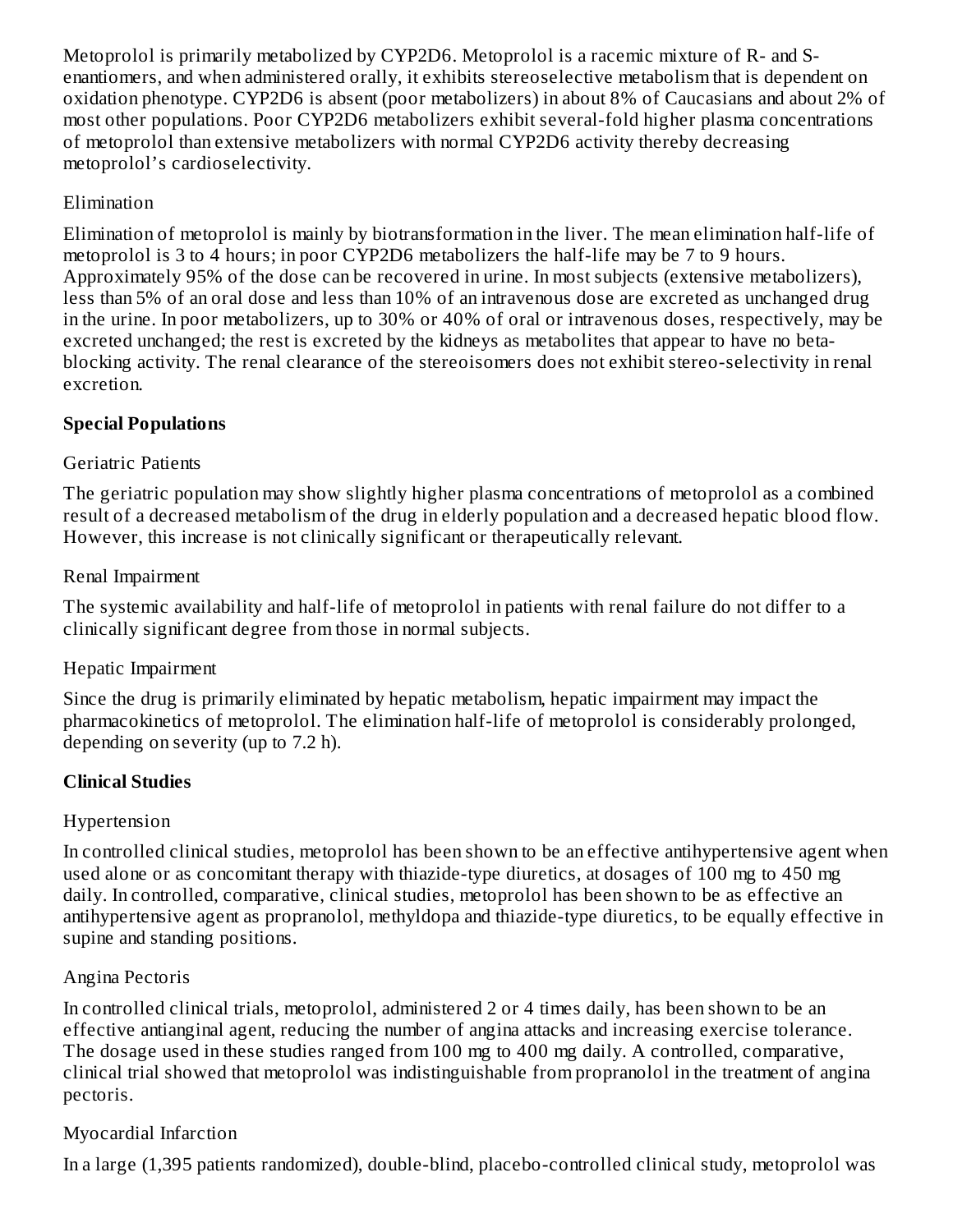Metoprolol is primarily metabolized by CYP2D6. Metoprolol is a racemic mixture of R- and Senantiomers, and when administered orally, it exhibits stereoselective metabolism that is dependent on oxidation phenotype. CYP2D6 is absent (poor metabolizers) in about 8% of Caucasians and about 2% of most other populations. Poor CYP2D6 metabolizers exhibit several-fold higher plasma concentrations of metoprolol than extensive metabolizers with normal CYP2D6 activity thereby decreasing metoprolol's cardioselectivity.

## Elimination

Elimination of metoprolol is mainly by biotransformation in the liver. The mean elimination half-life of metoprolol is 3 to 4 hours; in poor CYP2D6 metabolizers the half-life may be 7 to 9 hours. Approximately 95% of the dose can be recovered in urine. In most subjects (extensive metabolizers), less than 5% of an oral dose and less than 10% of an intravenous dose are excreted as unchanged drug in the urine. In poor metabolizers, up to 30% or 40% of oral or intravenous doses, respectively, may be excreted unchanged; the rest is excreted by the kidneys as metabolites that appear to have no betablocking activity. The renal clearance of the stereoisomers does not exhibit stereo-selectivity in renal excretion.

## **Special Populations**

## Geriatric Patients

The geriatric population may show slightly higher plasma concentrations of metoprolol as a combined result of a decreased metabolism of the drug in elderly population and a decreased hepatic blood flow. However, this increase is not clinically significant or therapeutically relevant.

## Renal Impairment

The systemic availability and half-life of metoprolol in patients with renal failure do not differ to a clinically significant degree from those in normal subjects.

## Hepatic Impairment

Since the drug is primarily eliminated by hepatic metabolism, hepatic impairment may impact the pharmacokinetics of metoprolol. The elimination half-life of metoprolol is considerably prolonged, depending on severity (up to 7.2 h).

## **Clinical Studies**

## Hypertension

In controlled clinical studies, metoprolol has been shown to be an effective antihypertensive agent when used alone or as concomitant therapy with thiazide-type diuretics, at dosages of 100 mg to 450 mg daily. In controlled, comparative, clinical studies, metoprolol has been shown to be as effective an antihypertensive agent as propranolol, methyldopa and thiazide-type diuretics, to be equally effective in supine and standing positions.

## Angina Pectoris

In controlled clinical trials, metoprolol, administered 2 or 4 times daily, has been shown to be an effective antianginal agent, reducing the number of angina attacks and increasing exercise tolerance. The dosage used in these studies ranged from 100 mg to 400 mg daily. A controlled, comparative, clinical trial showed that metoprolol was indistinguishable from propranolol in the treatment of angina pectoris.

## Myocardial Infarction

In a large (1,395 patients randomized), double-blind, placebo-controlled clinical study, metoprolol was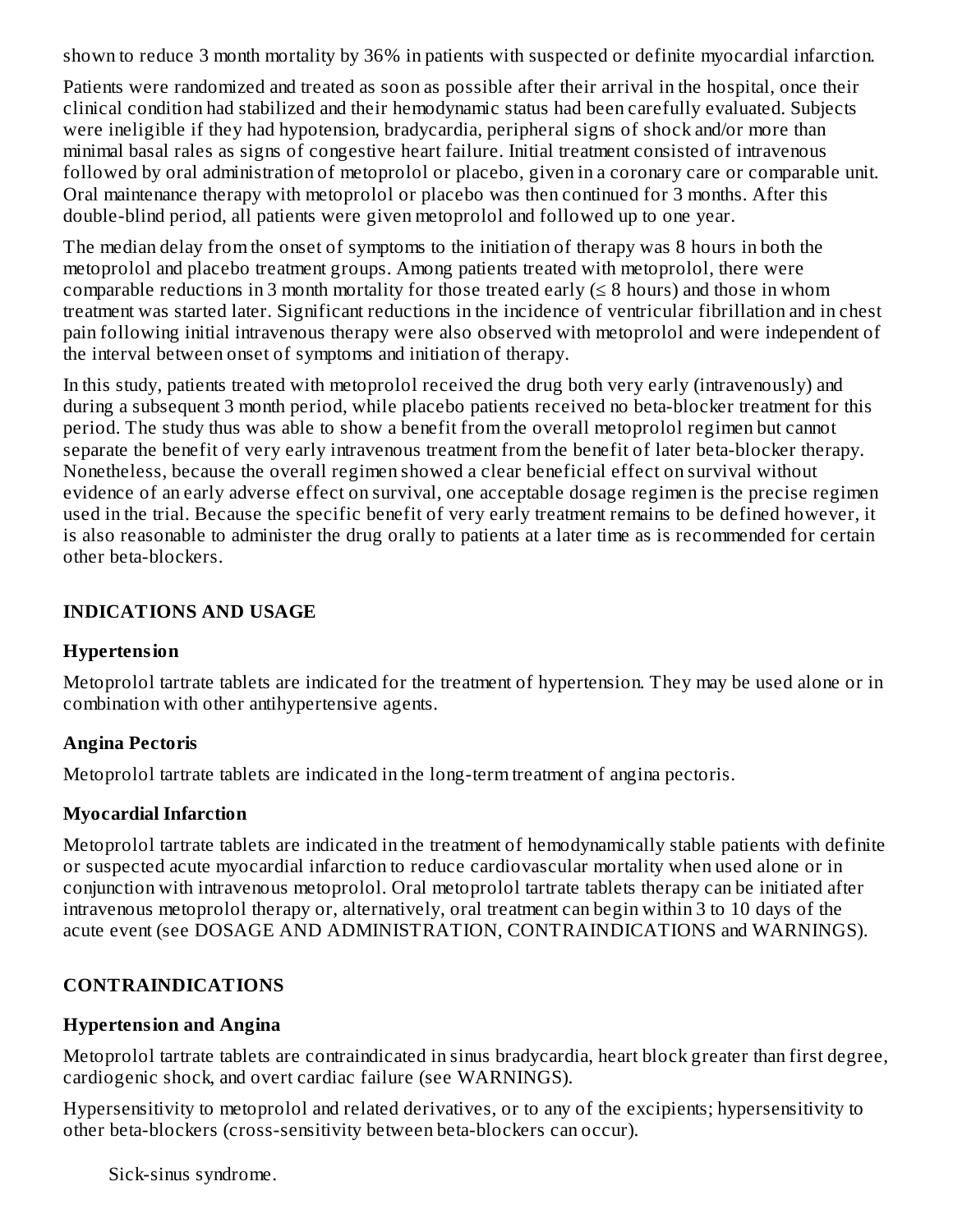shown to reduce 3 month mortality by 36% in patients with suspected or definite myocardial infarction.

Patients were randomized and treated as soon as possible after their arrival in the hospital, once their clinical condition had stabilized and their hemodynamic status had been carefully evaluated. Subjects were ineligible if they had hypotension, bradycardia, peripheral signs of shock and/or more than minimal basal rales as signs of congestive heart failure. Initial treatment consisted of intravenous followed by oral administration of metoprolol or placebo, given in a coronary care or comparable unit. Oral maintenance therapy with metoprolol or placebo was then continued for 3 months. After this double-blind period, all patients were given metoprolol and followed up to one year.

The median delay from the onset of symptoms to the initiation of therapy was 8 hours in both the metoprolol and placebo treatment groups. Among patients treated with metoprolol, there were comparable reductions in 3 month mortality for those treated early  $( \leq 8$  hours) and those in whom treatment was started later. Significant reductions in the incidence of ventricular fibrillation and in chest pain following initial intravenous therapy were also observed with metoprolol and were independent of the interval between onset of symptoms and initiation of therapy.

In this study, patients treated with metoprolol received the drug both very early (intravenously) and during a subsequent 3 month period, while placebo patients received no beta-blocker treatment for this period. The study thus was able to show a benefit from the overall metoprolol regimen but cannot separate the benefit of very early intravenous treatment from the benefit of later beta-blocker therapy. Nonetheless, because the overall regimen showed a clear beneficial effect on survival without evidence of an early adverse effect on survival, one acceptable dosage regimen is the precise regimen used in the trial. Because the specific benefit of very early treatment remains to be defined however, it is also reasonable to administer the drug orally to patients at a later time as is recommended for certain other beta-blockers.

#### **INDICATIONS AND USAGE**

#### **Hypertension**

Metoprolol tartrate tablets are indicated for the treatment of hypertension. They may be used alone or in combination with other antihypertensive agents.

#### **Angina Pectoris**

Metoprolol tartrate tablets are indicated in the long-term treatment of angina pectoris.

#### **Myocardial Infarction**

Metoprolol tartrate tablets are indicated in the treatment of hemodynamically stable patients with definite or suspected acute myocardial infarction to reduce cardiovascular mortality when used alone or in conjunction with intravenous metoprolol. Oral metoprolol tartrate tablets therapy can be initiated after intravenous metoprolol therapy or, alternatively, oral treatment can begin within 3 to 10 days of the acute event (see DOSAGE AND ADMINISTRATION, CONTRAINDICATIONS and WARNINGS).

#### **CONTRAINDICATIONS**

#### **Hypertension and Angina**

Metoprolol tartrate tablets are contraindicated in sinus bradycardia, heart block greater than first degree, cardiogenic shock, and overt cardiac failure (see WARNINGS).

Hypersensitivity to metoprolol and related derivatives, or to any of the excipients; hypersensitivity to other beta-blockers (cross-sensitivity between beta-blockers can occur).

Sick-sinus syndrome.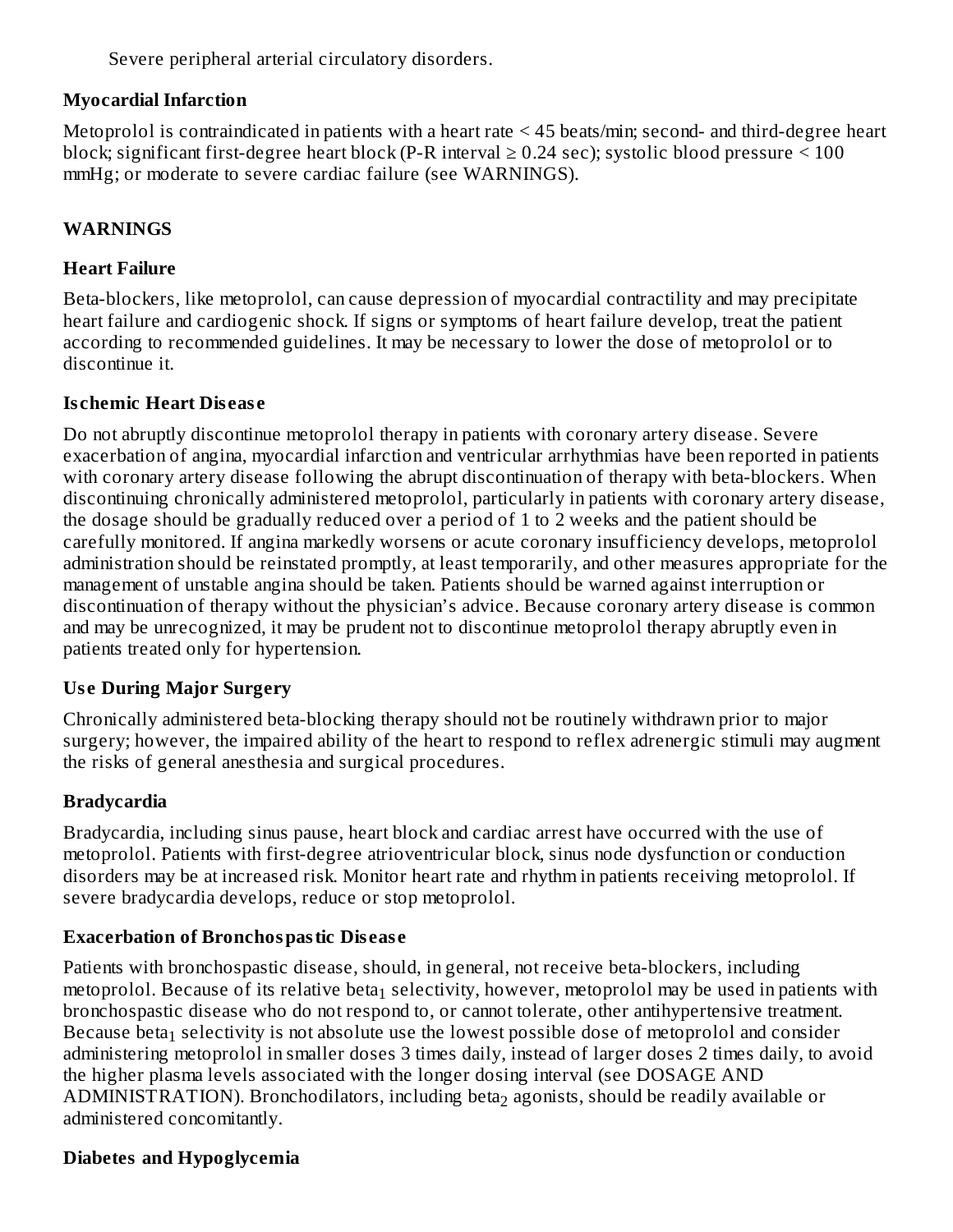Severe peripheral arterial circulatory disorders.

#### **Myocardial Infarction**

Metoprolol is contraindicated in patients with a heart rate < 45 beats/min; second- and third-degree heart block; significant first-degree heart block (P-R interval  $\geq$  0.24 sec); systolic blood pressure  $\leq$  100 mmHg; or moderate to severe cardiac failure (see WARNINGS).

#### **WARNINGS**

#### **Heart Failure**

Beta-blockers, like metoprolol, can cause depression of myocardial contractility and may precipitate heart failure and cardiogenic shock. If signs or symptoms of heart failure develop, treat the patient according to recommended guidelines. It may be necessary to lower the dose of metoprolol or to discontinue it.

#### **Is chemic Heart Dis eas e**

Do not abruptly discontinue metoprolol therapy in patients with coronary artery disease. Severe exacerbation of angina, myocardial infarction and ventricular arrhythmias have been reported in patients with coronary artery disease following the abrupt discontinuation of therapy with beta-blockers. When discontinuing chronically administered metoprolol, particularly in patients with coronary artery disease, the dosage should be gradually reduced over a period of 1 to 2 weeks and the patient should be carefully monitored. If angina markedly worsens or acute coronary insufficiency develops, metoprolol administration should be reinstated promptly, at least temporarily, and other measures appropriate for the management of unstable angina should be taken. Patients should be warned against interruption or discontinuation of therapy without the physician's advice. Because coronary artery disease is common and may be unrecognized, it may be prudent not to discontinue metoprolol therapy abruptly even in patients treated only for hypertension.

#### **Us e During Major Surgery**

Chronically administered beta-blocking therapy should not be routinely withdrawn prior to major surgery; however, the impaired ability of the heart to respond to reflex adrenergic stimuli may augment the risks of general anesthesia and surgical procedures.

#### **Bradycardia**

Bradycardia, including sinus pause, heart block and cardiac arrest have occurred with the use of metoprolol. Patients with first-degree atrioventricular block, sinus node dysfunction or conduction disorders may be at increased risk. Monitor heart rate and rhythm in patients receiving metoprolol. If severe bradycardia develops, reduce or stop metoprolol.

#### **Exacerbation of Bronchospastic Dis eas e**

Patients with bronchospastic disease, should, in general, not receive beta-blockers, including metoprolol. Because of its relative beta $_1$  selectivity, however, metoprolol may be used in patients with bronchospastic disease who do not respond to, or cannot tolerate, other antihypertensive treatment. Because beta $_1$  selectivity is not absolute use the lowest possible dose of metoprolol and consider administering metoprolol in smaller doses 3 times daily, instead of larger doses 2 times daily, to avoid the higher plasma levels associated with the longer dosing interval (see DOSAGE AND  $\mathop{\rm ADMINISTRATION}$ ). Bronchodilators, including beta $_2$  agonists, should be readily available or administered concomitantly.

#### **Diabetes and Hypoglycemia**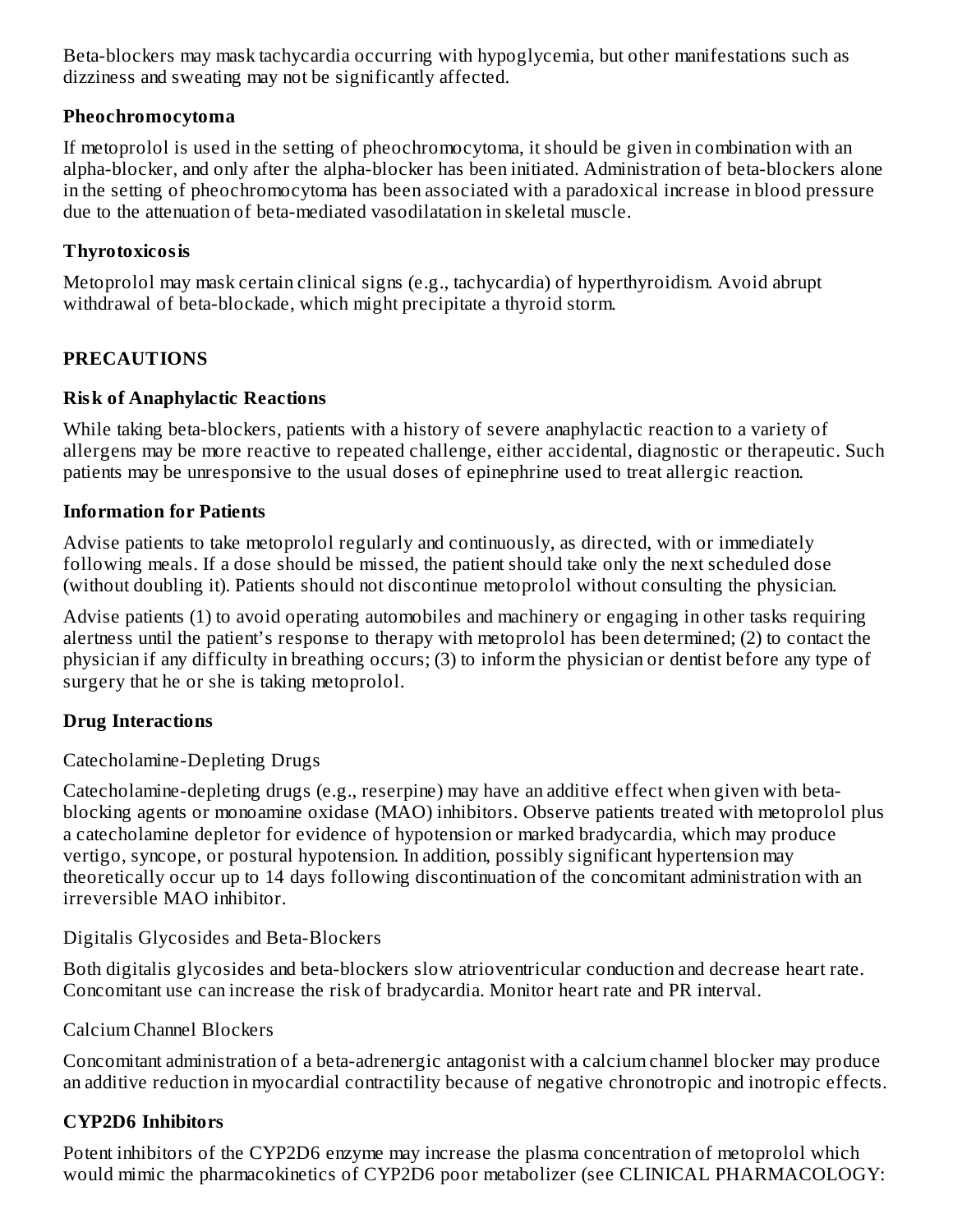Beta-blockers may mask tachycardia occurring with hypoglycemia, but other manifestations such as dizziness and sweating may not be significantly affected.

#### **Pheochromocytoma**

If metoprolol is used in the setting of pheochromocytoma, it should be given in combination with an alpha-blocker, and only after the alpha-blocker has been initiated. Administration of beta-blockers alone in the setting of pheochromocytoma has been associated with a paradoxical increase in blood pressure due to the attenuation of beta-mediated vasodilatation in skeletal muscle.

#### **Thyrotoxicosis**

Metoprolol may mask certain clinical signs (e.g., tachycardia) of hyperthyroidism. Avoid abrupt withdrawal of beta-blockade, which might precipitate a thyroid storm.

#### **PRECAUTIONS**

#### **Risk of Anaphylactic Reactions**

While taking beta-blockers, patients with a history of severe anaphylactic reaction to a variety of allergens may be more reactive to repeated challenge, either accidental, diagnostic or therapeutic. Such patients may be unresponsive to the usual doses of epinephrine used to treat allergic reaction.

#### **Information for Patients**

Advise patients to take metoprolol regularly and continuously, as directed, with or immediately following meals. If a dose should be missed, the patient should take only the next scheduled dose (without doubling it). Patients should not discontinue metoprolol without consulting the physician.

Advise patients (1) to avoid operating automobiles and machinery or engaging in other tasks requiring alertness until the patient's response to therapy with metoprolol has been determined; (2) to contact the physician if any difficulty in breathing occurs; (3) to inform the physician or dentist before any type of surgery that he or she is taking metoprolol.

#### **Drug Interactions**

Catecholamine-Depleting Drugs

Catecholamine-depleting drugs (e.g., reserpine) may have an additive effect when given with betablocking agents or monoamine oxidase (MAO) inhibitors. Observe patients treated with metoprolol plus a catecholamine depletor for evidence of hypotension or marked bradycardia, which may produce vertigo, syncope, or postural hypotension. In addition, possibly significant hypertension may theoretically occur up to 14 days following discontinuation of the concomitant administration with an irreversible MAO inhibitor.

#### Digitalis Glycosides and Beta-Blockers

Both digitalis glycosides and beta-blockers slow atrioventricular conduction and decrease heart rate. Concomitant use can increase the risk of bradycardia. Monitor heart rate and PR interval.

#### Calcium Channel Blockers

Concomitant administration of a beta-adrenergic antagonist with a calcium channel blocker may produce an additive reduction in myocardial contractility because of negative chronotropic and inotropic effects.

#### **CYP2D6 Inhibitors**

Potent inhibitors of the CYP2D6 enzyme may increase the plasma concentration of metoprolol which would mimic the pharmacokinetics of CYP2D6 poor metabolizer (see CLINICAL PHARMACOLOGY: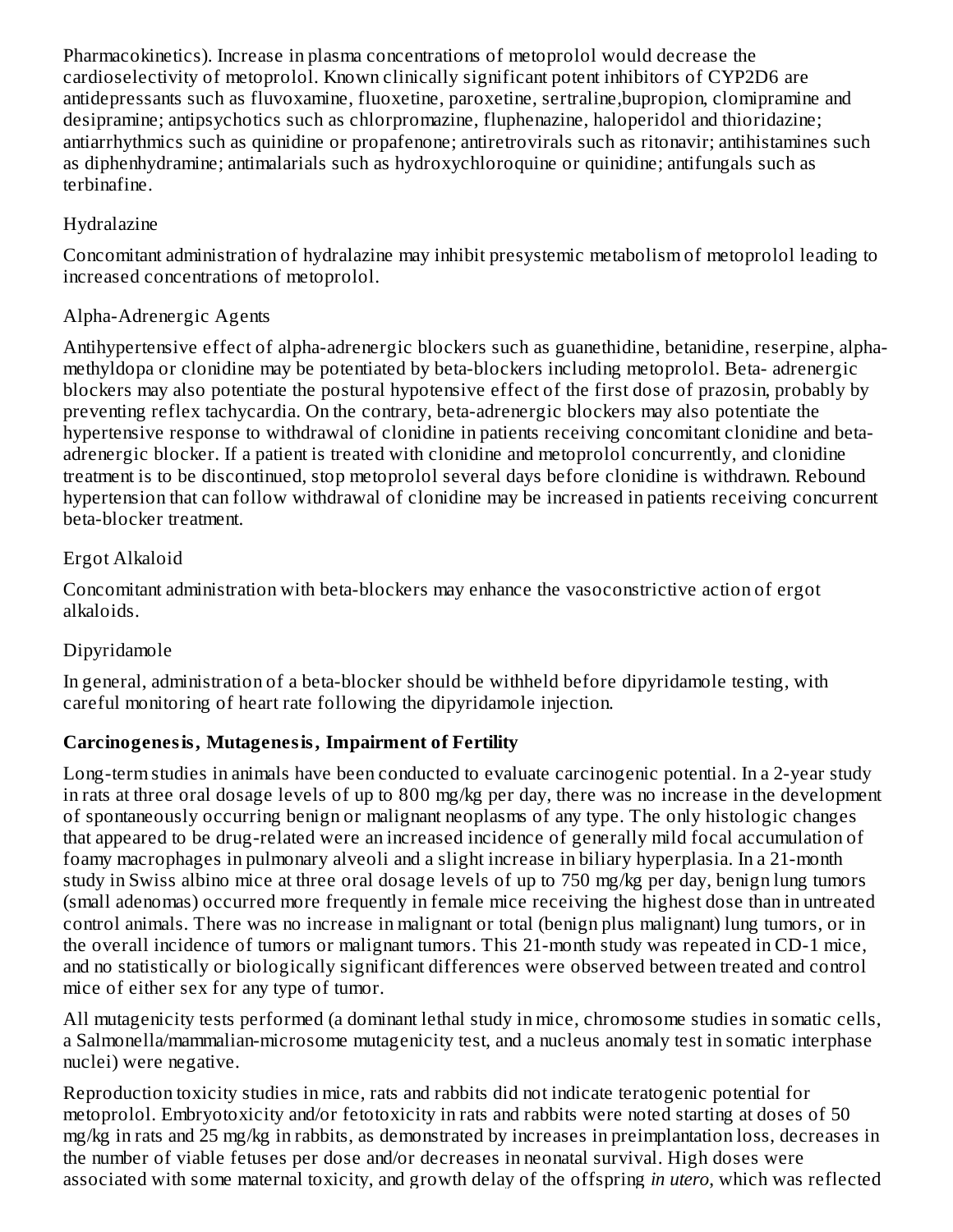Pharmacokinetics). Increase in plasma concentrations of metoprolol would decrease the cardioselectivity of metoprolol. Known clinically significant potent inhibitors of CYP2D6 are antidepressants such as fluvoxamine, fluoxetine, paroxetine, sertraline,bupropion, clomipramine and desipramine; antipsychotics such as chlorpromazine, fluphenazine, haloperidol and thioridazine; antiarrhythmics such as quinidine or propafenone; antiretrovirals such as ritonavir; antihistamines such as diphenhydramine; antimalarials such as hydroxychloroquine or quinidine; antifungals such as terbinafine.

### Hydralazine

Concomitant administration of hydralazine may inhibit presystemic metabolism of metoprolol leading to increased concentrations of metoprolol.

#### Alpha-Adrenergic Agents

Antihypertensive effect of alpha-adrenergic blockers such as guanethidine, betanidine, reserpine, alphamethyldopa or clonidine may be potentiated by beta-blockers including metoprolol. Beta- adrenergic blockers may also potentiate the postural hypotensive effect of the first dose of prazosin, probably by preventing reflex tachycardia. On the contrary, beta-adrenergic blockers may also potentiate the hypertensive response to withdrawal of clonidine in patients receiving concomitant clonidine and betaadrenergic blocker. If a patient is treated with clonidine and metoprolol concurrently, and clonidine treatment is to be discontinued, stop metoprolol several days before clonidine is withdrawn. Rebound hypertension that can follow withdrawal of clonidine may be increased in patients receiving concurrent beta-blocker treatment.

#### Ergot Alkaloid

Concomitant administration with beta-blockers may enhance the vasoconstrictive action of ergot alkaloids.

#### Dipyridamole

In general, administration of a beta-blocker should be withheld before dipyridamole testing, with careful monitoring of heart rate following the dipyridamole injection.

## **Carcinogenesis, Mutagenesis, Impairment of Fertility**

Long-term studies in animals have been conducted to evaluate carcinogenic potential. In a 2-year study in rats at three oral dosage levels of up to 800 mg/kg per day, there was no increase in the development of spontaneously occurring benign or malignant neoplasms of any type. The only histologic changes that appeared to be drug-related were an increased incidence of generally mild focal accumulation of foamy macrophages in pulmonary alveoli and a slight increase in biliary hyperplasia. In a 21-month study in Swiss albino mice at three oral dosage levels of up to 750 mg/kg per day, benign lung tumors (small adenomas) occurred more frequently in female mice receiving the highest dose than in untreated control animals. There was no increase in malignant or total (benign plus malignant) lung tumors, or in the overall incidence of tumors or malignant tumors. This 21-month study was repeated in CD-1 mice, and no statistically or biologically significant differences were observed between treated and control mice of either sex for any type of tumor.

All mutagenicity tests performed (a dominant lethal study in mice, chromosome studies in somatic cells, a Salmonella/mammalian-microsome mutagenicity test, and a nucleus anomaly test in somatic interphase nuclei) were negative.

Reproduction toxicity studies in mice, rats and rabbits did not indicate teratogenic potential for metoprolol. Embryotoxicity and/or fetotoxicity in rats and rabbits were noted starting at doses of 50 mg/kg in rats and 25 mg/kg in rabbits, as demonstrated by increases in preimplantation loss, decreases in the number of viable fetuses per dose and/or decreases in neonatal survival. High doses were associated with some maternal toxicity, and growth delay of the offspring *in utero*, which was reflected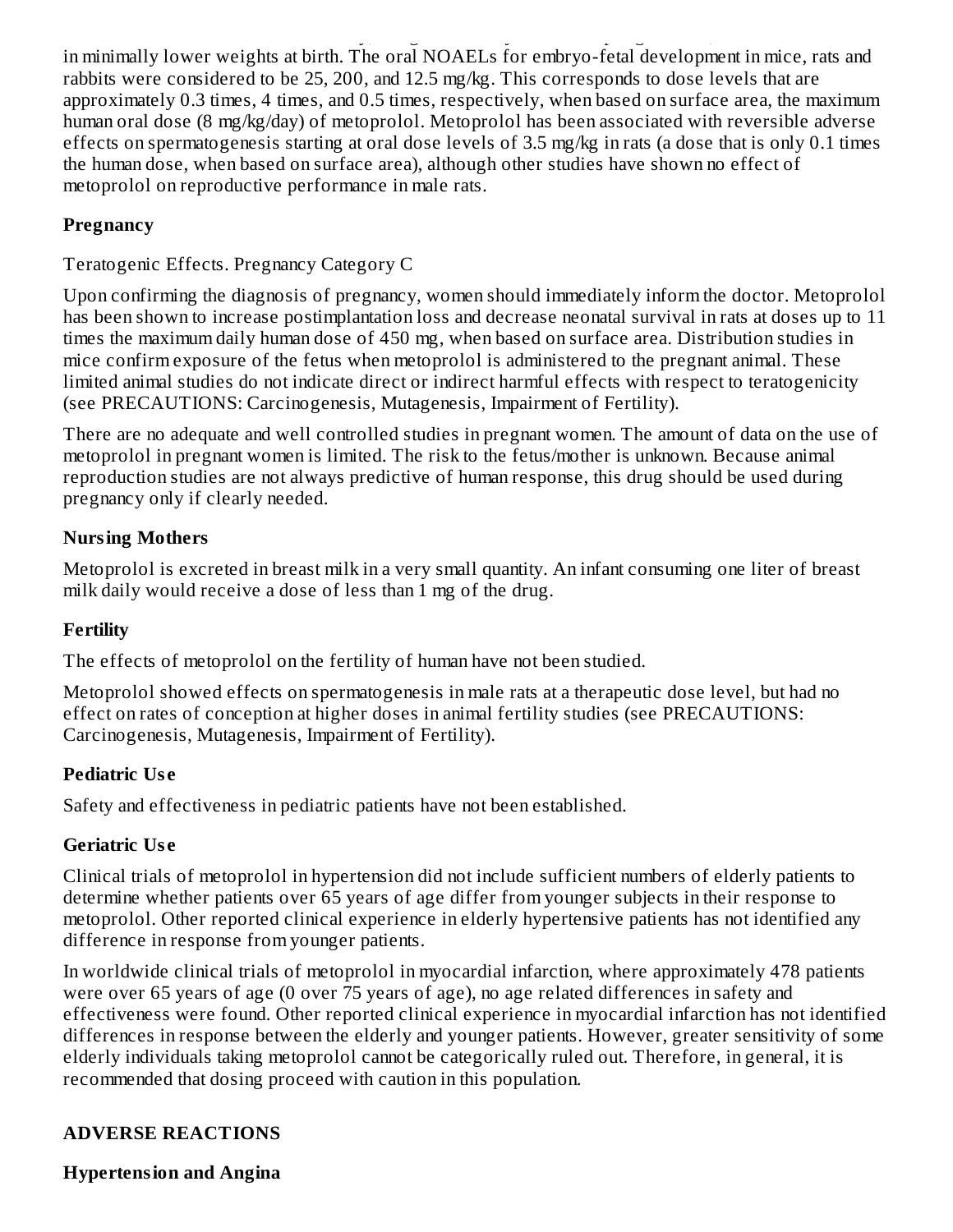associated with some maternal toxicity, and growth delay of the offspring *in utero*, which was reflected in minimally lower weights at birth. The oral NOAELs for embryo-fetal development in mice, rats and rabbits were considered to be 25, 200, and 12.5 mg/kg. This corresponds to dose levels that are approximately 0.3 times, 4 times, and 0.5 times, respectively, when based on surface area, the maximum human oral dose (8 mg/kg/day) of metoprolol. Metoprolol has been associated with reversible adverse effects on spermatogenesis starting at oral dose levels of 3.5 mg/kg in rats (a dose that is only 0.1 times the human dose, when based on surface area), although other studies have shown no effect of metoprolol on reproductive performance in male rats.

## **Pregnancy**

## Teratogenic Effects. Pregnancy Category C

Upon confirming the diagnosis of pregnancy, women should immediately inform the doctor. Metoprolol has been shown to increase postimplantation loss and decrease neonatal survival in rats at doses up to 11 times the maximum daily human dose of 450 mg, when based on surface area. Distribution studies in mice confirm exposure of the fetus when metoprolol is administered to the pregnant animal. These limited animal studies do not indicate direct or indirect harmful effects with respect to teratogenicity (see PRECAUTIONS: Carcinogenesis, Mutagenesis, Impairment of Fertility).

There are no adequate and well controlled studies in pregnant women. The amount of data on the use of metoprolol in pregnant women is limited. The risk to the fetus/mother is unknown. Because animal reproduction studies are not always predictive of human response, this drug should be used during pregnancy only if clearly needed.

## **Nursing Mothers**

Metoprolol is excreted in breast milk in a very small quantity. An infant consuming one liter of breast milk daily would receive a dose of less than 1 mg of the drug.

#### **Fertility**

The effects of metoprolol on the fertility of human have not been studied.

Metoprolol showed effects on spermatogenesis in male rats at a therapeutic dose level, but had no effect on rates of conception at higher doses in animal fertility studies (see PRECAUTIONS: Carcinogenesis, Mutagenesis, Impairment of Fertility).

## **Pediatric Us e**

Safety and effectiveness in pediatric patients have not been established.

#### **Geriatric Us e**

Clinical trials of metoprolol in hypertension did not include sufficient numbers of elderly patients to determine whether patients over 65 years of age differ from younger subjects in their response to metoprolol. Other reported clinical experience in elderly hypertensive patients has not identified any difference in response from younger patients.

In worldwide clinical trials of metoprolol in myocardial infarction, where approximately 478 patients were over 65 years of age (0 over 75 years of age), no age related differences in safety and effectiveness were found. Other reported clinical experience in myocardial infarction has not identified differences in response between the elderly and younger patients. However, greater sensitivity of some elderly individuals taking metoprolol cannot be categorically ruled out. Therefore, in general, it is recommended that dosing proceed with caution in this population.

## **ADVERSE REACTIONS**

#### **Hypertension and Angina**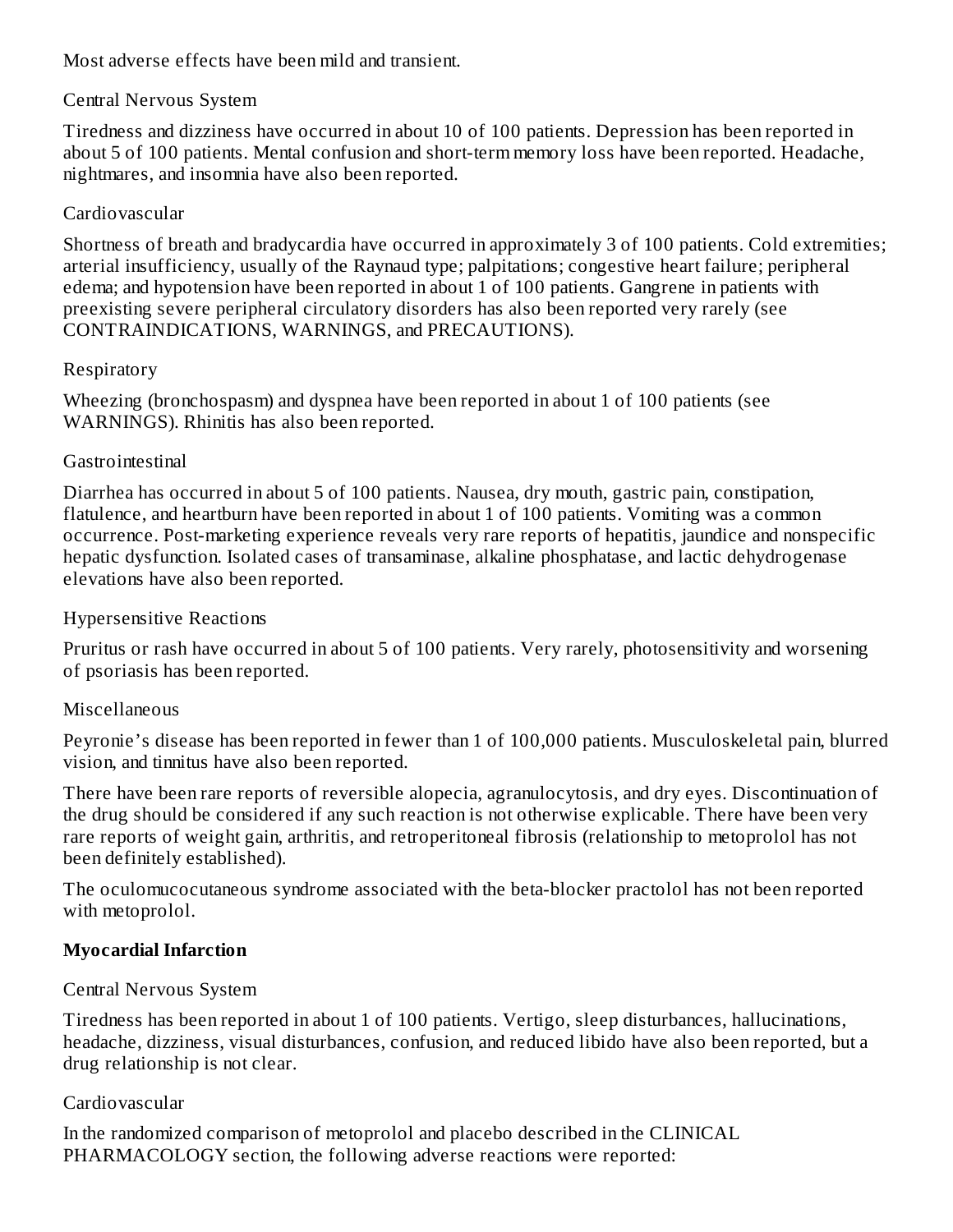Most adverse effects have been mild and transient.

#### Central Nervous System

Tiredness and dizziness have occurred in about 10 of 100 patients. Depression has been reported in about 5 of 100 patients. Mental confusion and short-term memory loss have been reported. Headache, nightmares, and insomnia have also been reported.

#### Cardiovascular

Shortness of breath and bradycardia have occurred in approximately 3 of 100 patients. Cold extremities; arterial insufficiency, usually of the Raynaud type; palpitations; congestive heart failure; peripheral edema; and hypotension have been reported in about 1 of 100 patients. Gangrene in patients with preexisting severe peripheral circulatory disorders has also been reported very rarely (see CONTRAINDICATIONS, WARNINGS, and PRECAUTIONS).

#### Respiratory

Wheezing (bronchospasm) and dyspnea have been reported in about 1 of 100 patients (see WARNINGS). Rhinitis has also been reported.

#### **Gastrointestinal**

Diarrhea has occurred in about 5 of 100 patients. Nausea, dry mouth, gastric pain, constipation, flatulence, and heartburn have been reported in about 1 of 100 patients. Vomiting was a common occurrence. Post-marketing experience reveals very rare reports of hepatitis, jaundice and nonspecific hepatic dysfunction. Isolated cases of transaminase, alkaline phosphatase, and lactic dehydrogenase elevations have also been reported.

#### Hypersensitive Reactions

Pruritus or rash have occurred in about 5 of 100 patients. Very rarely, photosensitivity and worsening of psoriasis has been reported.

#### Miscellaneous

Peyronie's disease has been reported in fewer than 1 of 100,000 patients. Musculoskeletal pain, blurred vision, and tinnitus have also been reported.

There have been rare reports of reversible alopecia, agranulocytosis, and dry eyes. Discontinuation of the drug should be considered if any such reaction is not otherwise explicable. There have been very rare reports of weight gain, arthritis, and retroperitoneal fibrosis (relationship to metoprolol has not been definitely established).

The oculomucocutaneous syndrome associated with the beta-blocker practolol has not been reported with metoprolol.

#### **Myocardial Infarction**

#### Central Nervous System

Tiredness has been reported in about 1 of 100 patients. Vertigo, sleep disturbances, hallucinations, headache, dizziness, visual disturbances, confusion, and reduced libido have also been reported, but a drug relationship is not clear.

#### Cardiovascular

In the randomized comparison of metoprolol and placebo described in the CLINICAL PHARMACOLOGY section, the following adverse reactions were reported: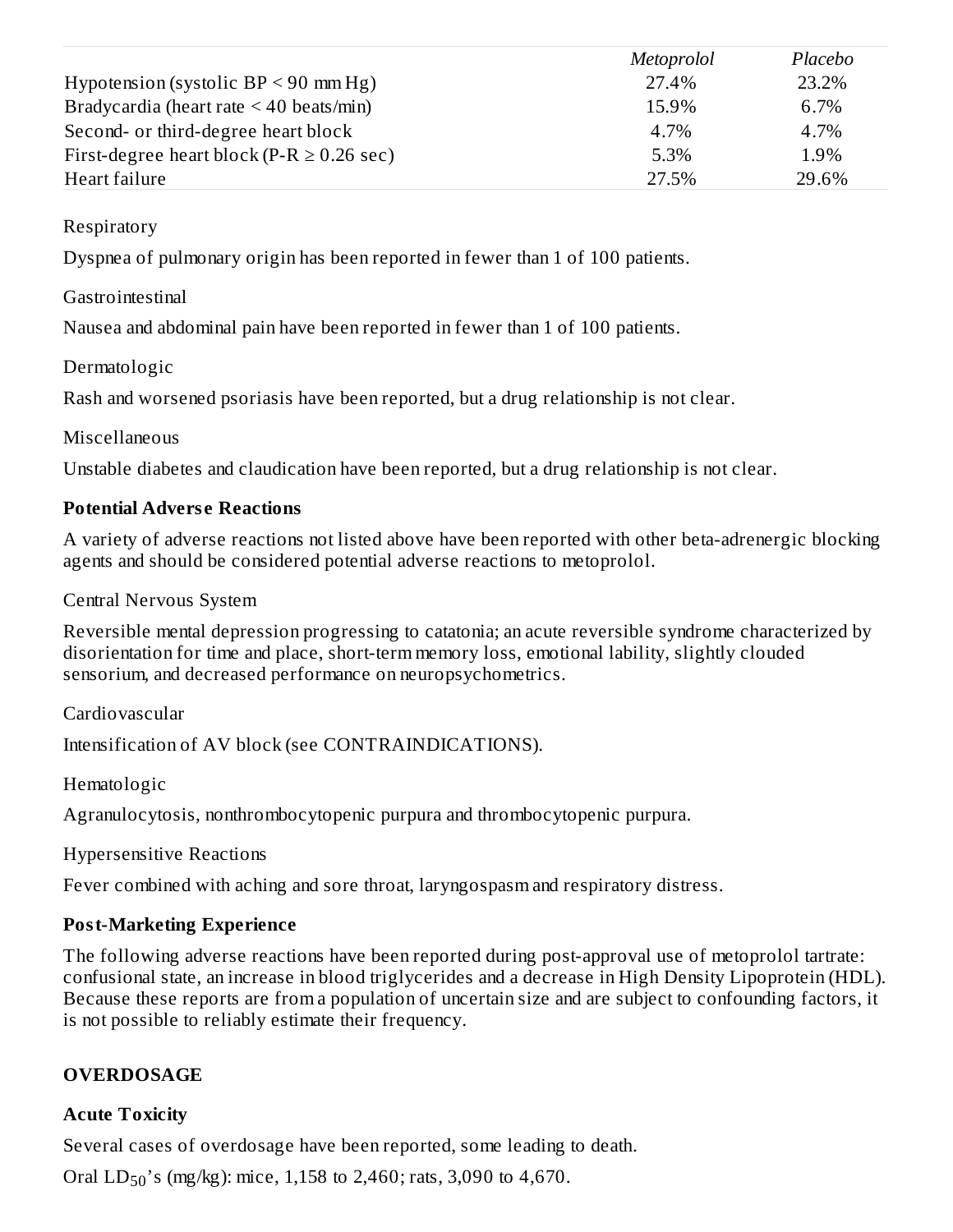|                                                | <i>Metoprolol</i> | Placebo |
|------------------------------------------------|-------------------|---------|
| Hypotension (systolic $BP < 90$ mm Hg)         | 27.4%             | 23.2%   |
| Bradycardia (heart rate $\leq$ 40 beats/min)   | 15.9%             | 6.7%    |
| Second- or third-degree heart block            | 4.7%              | 4.7%    |
| First-degree heart block (P-R $\geq$ 0.26 sec) | 5.3%              | 1.9%    |
| Heart failure                                  | 27.5%             | 29.6%   |

Respiratory

Dyspnea of pulmonary origin has been reported in fewer than 1 of 100 patients.

#### **Gastrointestinal**

Nausea and abdominal pain have been reported in fewer than 1 of 100 patients.

#### Dermatologic

Rash and worsened psoriasis have been reported, but a drug relationship is not clear.

#### Miscellaneous

Unstable diabetes and claudication have been reported, but a drug relationship is not clear.

#### **Potential Advers e Reactions**

A variety of adverse reactions not listed above have been reported with other beta-adrenergic blocking agents and should be considered potential adverse reactions to metoprolol.

Central Nervous System

Reversible mental depression progressing to catatonia; an acute reversible syndrome characterized by disorientation for time and place, short-term memory loss, emotional lability, slightly clouded sensorium, and decreased performance on neuropsychometrics.

Cardiovascular

Intensification of AV block (see CONTRAINDICATIONS).

Hematologic

Agranulocytosis, nonthrombocytopenic purpura and thrombocytopenic purpura.

Hypersensitive Reactions

Fever combined with aching and sore throat, laryngospasm and respiratory distress.

## **Post-Marketing Experience**

The following adverse reactions have been reported during post-approval use of metoprolol tartrate: confusional state, an increase in blood triglycerides and a decrease in High Density Lipoprotein (HDL). Because these reports are from a population of uncertain size and are subject to confounding factors, it is not possible to reliably estimate their frequency.

## **OVERDOSAGE**

## **Acute Toxicity**

Several cases of overdosage have been reported, some leading to death.

Oral  $LD_{50}$ 's (mg/kg): mice, 1,158 to 2,460; rats, 3,090 to 4,670.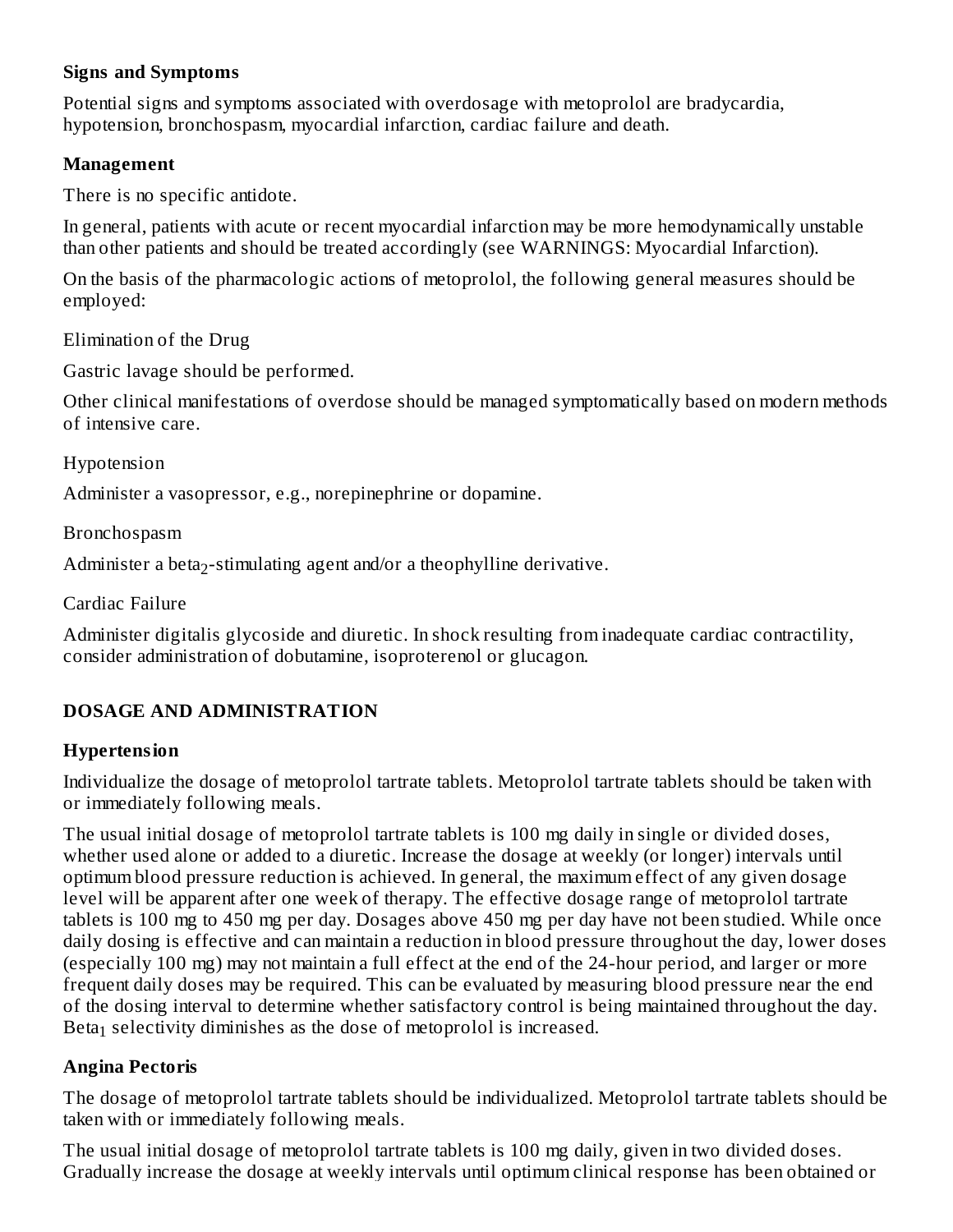#### **Signs and Symptoms**

Potential signs and symptoms associated with overdosage with metoprolol are bradycardia, hypotension, bronchospasm, myocardial infarction, cardiac failure and death.

#### **Management**

There is no specific antidote.

In general, patients with acute or recent myocardial infarction may be more hemodynamically unstable than other patients and should be treated accordingly (see WARNINGS: Myocardial Infarction).

On the basis of the pharmacologic actions of metoprolol, the following general measures should be employed:

Elimination of the Drug

Gastric lavage should be performed.

Other clinical manifestations of overdose should be managed symptomatically based on modern methods of intensive care.

Hypotension

Administer a vasopressor, e.g., norepinephrine or dopamine.

Bronchospasm

Administer a beta<sub>2</sub>-stimulating agent and/or a theophylline derivative.

Cardiac Failure

Administer digitalis glycoside and diuretic. In shock resulting from inadequate cardiac contractility, consider administration of dobutamine, isoproterenol or glucagon.

#### **DOSAGE AND ADMINISTRATION**

#### **Hypertension**

Individualize the dosage of metoprolol tartrate tablets. Metoprolol tartrate tablets should be taken with or immediately following meals.

The usual initial dosage of metoprolol tartrate tablets is 100 mg daily in single or divided doses, whether used alone or added to a diuretic. Increase the dosage at weekly (or longer) intervals until optimum blood pressure reduction is achieved. In general, the maximum effect of any given dosage level will be apparent after one week of therapy. The effective dosage range of metoprolol tartrate tablets is 100 mg to 450 mg per day. Dosages above 450 mg per day have not been studied. While once daily dosing is effective and can maintain a reduction in blood pressure throughout the day, lower doses (especially 100 mg) may not maintain a full effect at the end of the 24-hour period, and larger or more frequent daily doses may be required. This can be evaluated by measuring blood pressure near the end of the dosing interval to determine whether satisfactory control is being maintained throughout the day. Beta $_1$  selectivity diminishes as the dose of metoprolol is increased.

#### **Angina Pectoris**

The dosage of metoprolol tartrate tablets should be individualized. Metoprolol tartrate tablets should be taken with or immediately following meals.

The usual initial dosage of metoprolol tartrate tablets is 100 mg daily, given in two divided doses. Gradually increase the dosage at weekly intervals until optimum clinical response has been obtained or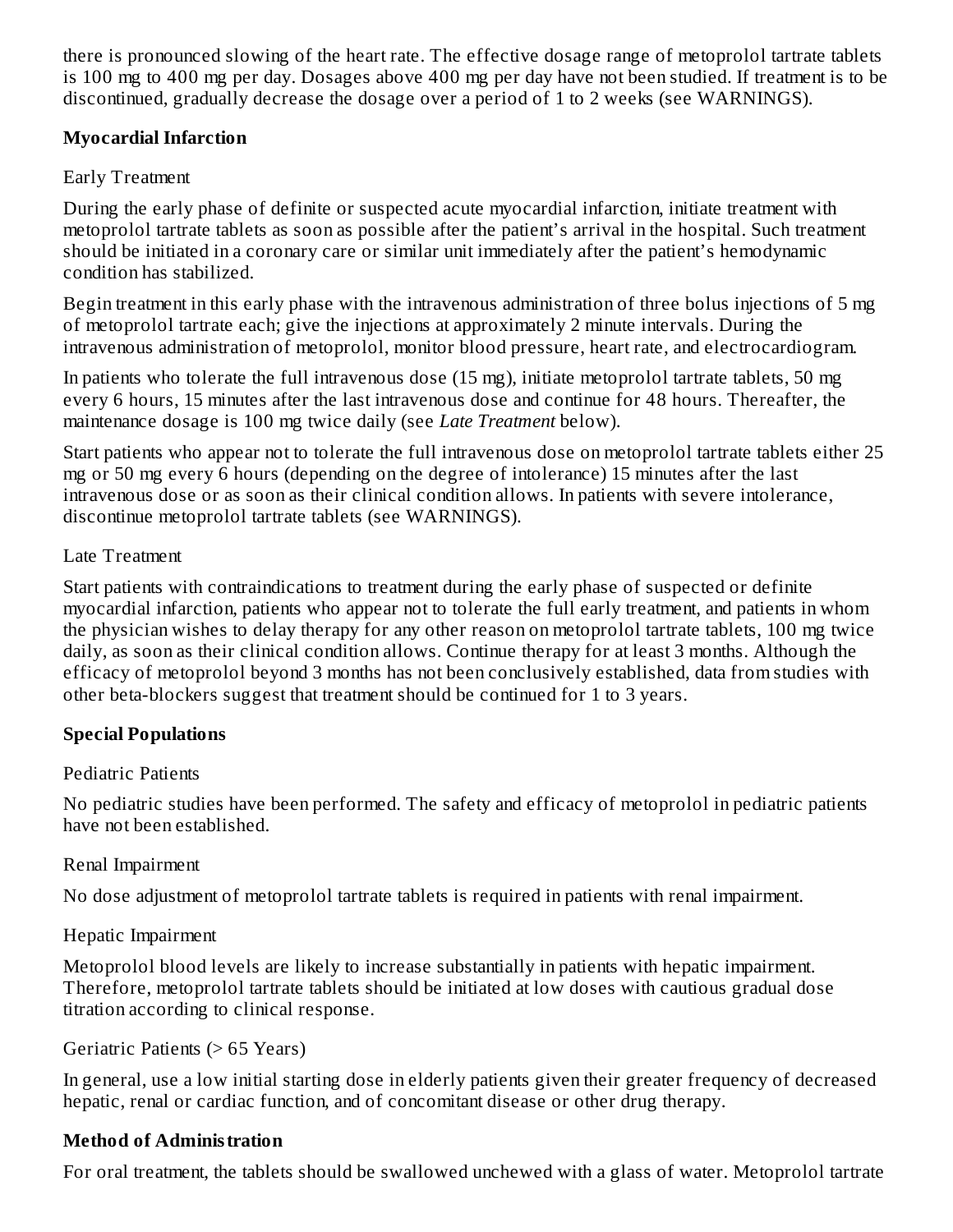there is pronounced slowing of the heart rate. The effective dosage range of metoprolol tartrate tablets is 100 mg to 400 mg per day. Dosages above 400 mg per day have not been studied. If treatment is to be discontinued, gradually decrease the dosage over a period of 1 to 2 weeks (see WARNINGS).

#### **Myocardial Infarction**

#### Early Treatment

During the early phase of definite or suspected acute myocardial infarction, initiate treatment with metoprolol tartrate tablets as soon as possible after the patient's arrival in the hospital. Such treatment should be initiated in a coronary care or similar unit immediately after the patient's hemodynamic condition has stabilized.

Begin treatment in this early phase with the intravenous administration of three bolus injections of 5 mg of metoprolol tartrate each; give the injections at approximately 2 minute intervals. During the intravenous administration of metoprolol, monitor blood pressure, heart rate, and electrocardiogram.

In patients who tolerate the full intravenous dose (15 mg), initiate metoprolol tartrate tablets, 50 mg every 6 hours, 15 minutes after the last intravenous dose and continue for 48 hours. Thereafter, the maintenance dosage is 100 mg twice daily (see *Late Treatment* below).

Start patients who appear not to tolerate the full intravenous dose on metoprolol tartrate tablets either 25 mg or 50 mg every 6 hours (depending on the degree of intolerance) 15 minutes after the last intravenous dose or as soon as their clinical condition allows. In patients with severe intolerance, discontinue metoprolol tartrate tablets (see WARNINGS).

#### Late Treatment

Start patients with contraindications to treatment during the early phase of suspected or definite myocardial infarction, patients who appear not to tolerate the full early treatment, and patients in whom the physician wishes to delay therapy for any other reason on metoprolol tartrate tablets, 100 mg twice daily, as soon as their clinical condition allows. Continue therapy for at least 3 months. Although the efficacy of metoprolol beyond 3 months has not been conclusively established, data from studies with other beta-blockers suggest that treatment should be continued for 1 to 3 years.

## **Special Populations**

## Pediatric Patients

No pediatric studies have been performed. The safety and efficacy of metoprolol in pediatric patients have not been established.

## Renal Impairment

No dose adjustment of metoprolol tartrate tablets is required in patients with renal impairment.

## Hepatic Impairment

Metoprolol blood levels are likely to increase substantially in patients with hepatic impairment. Therefore, metoprolol tartrate tablets should be initiated at low doses with cautious gradual dose titration according to clinical response.

## Geriatric Patients (> 65 Years)

In general, use a low initial starting dose in elderly patients given their greater frequency of decreased hepatic, renal or cardiac function, and of concomitant disease or other drug therapy.

## **Method of Administration**

For oral treatment, the tablets should be swallowed unchewed with a glass of water. Metoprolol tartrate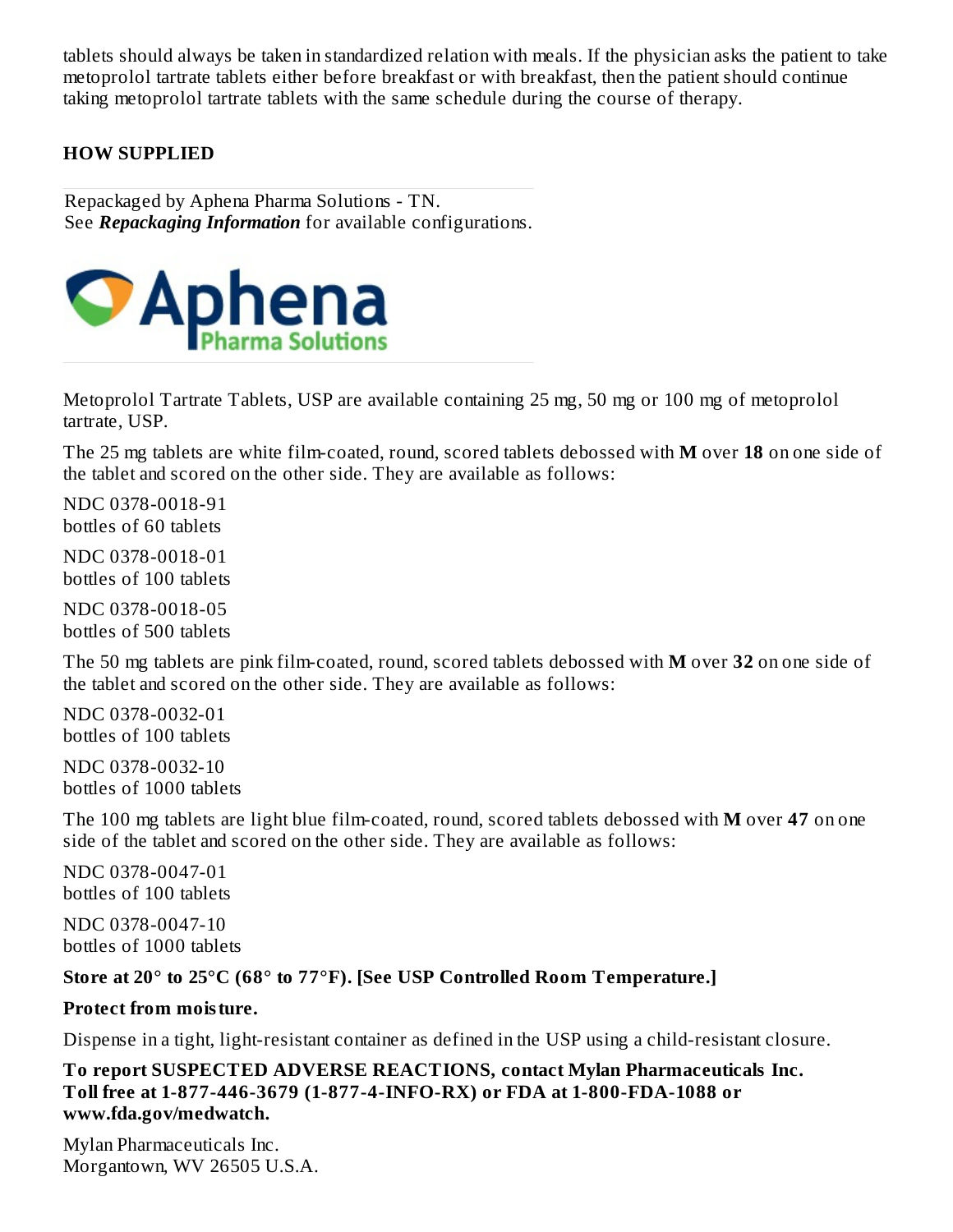tablets should always be taken in standardized relation with meals. If the physician asks the patient to take metoprolol tartrate tablets either before breakfast or with breakfast, then the patient should continue taking metoprolol tartrate tablets with the same schedule during the course of therapy.

#### **HOW SUPPLIED**

Repackaged by Aphena Pharma Solutions - TN. See *Repackaging Information* for available configurations.



Metoprolol Tartrate Tablets, USP are available containing 25 mg, 50 mg or 100 mg of metoprolol tartrate, USP.

The 25 mg tablets are white film-coated, round, scored tablets debossed with **M** over **18** on one side of the tablet and scored on the other side. They are available as follows:

NDC 0378-0018-91 bottles of 60 tablets

NDC 0378-0018-01 bottles of 100 tablets

NDC 0378-0018-05 bottles of 500 tablets

The 50 mg tablets are pink film-coated, round, scored tablets debossed with **M** over **32** on one side of the tablet and scored on the other side. They are available as follows:

NDC 0378-0032-01 bottles of 100 tablets

NDC 0378-0032-10 bottles of 1000 tablets

The 100 mg tablets are light blue film-coated, round, scored tablets debossed with **M** over **47** on one side of the tablet and scored on the other side. They are available as follows:

NDC 0378-0047-01 bottles of 100 tablets

NDC 0378-0047-10 bottles of 1000 tablets

#### **Store at 20° to 25°C (68° to 77°F). [See USP Controlled Room Temperature.]**

#### **Protect from moisture.**

Dispense in a tight, light-resistant container as defined in the USP using a child-resistant closure.

**To report SUSPECTED ADVERSE REACTIONS, contact Mylan Pharmaceuticals Inc. Toll free at 1-877-446-3679 (1-877-4-INFO-RX) or FDA at 1-800-FDA-1088 or www.fda.gov/medwatch.**

Mylan Pharmaceuticals Inc. Morgantown, WV 26505 U.S.A.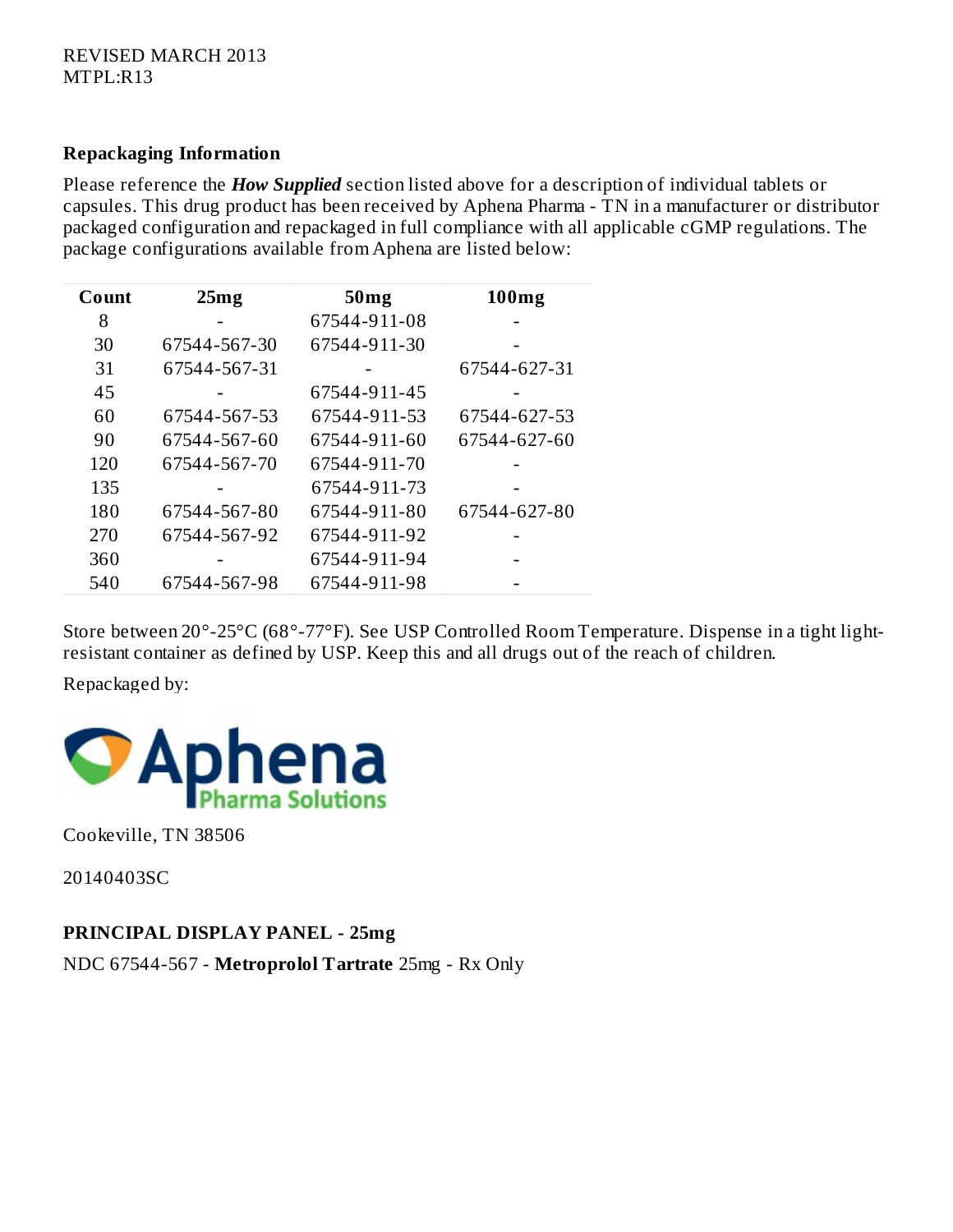#### **Repackaging Information**

Please reference the *How Supplied* section listed above for a description of individual tablets or capsules. This drug product has been received by Aphena Pharma - TN in a manufacturer or distributor packaged configuration and repackaged in full compliance with all applicable cGMP regulations. The package configurations available from Aphena are listed below:

| Count | 25mg         | 50 <sub>mg</sub> | 100mg        |
|-------|--------------|------------------|--------------|
| 8     |              | 67544-911-08     |              |
| 30    | 67544-567-30 | 67544-911-30     |              |
| 31    | 67544-567-31 |                  | 67544-627-31 |
| 45    |              | 67544-911-45     |              |
| 60    | 67544-567-53 | 67544-911-53     | 67544-627-53 |
| 90    | 67544-567-60 | 67544-911-60     | 67544-627-60 |
| 120   | 67544-567-70 | 67544-911-70     |              |
| 135   |              | 67544-911-73     |              |
| 180   | 67544-567-80 | 67544-911-80     | 67544-627-80 |
| 270   | 67544-567-92 | 67544-911-92     |              |
| 360   |              | 67544-911-94     |              |
| 540   | 67544-567-98 | 67544-911-98     |              |

Store between 20°-25°C (68°-77°F). See USP Controlled Room Temperature. Dispense in a tight lightresistant container as defined by USP. Keep this and all drugs out of the reach of children.

Repackaged by:



Cookeville, TN 38506

20140403SC

**PRINCIPAL DISPLAY PANEL - 25mg**

NDC 67544-567 - **Metroprolol Tartrate** 25mg - Rx Only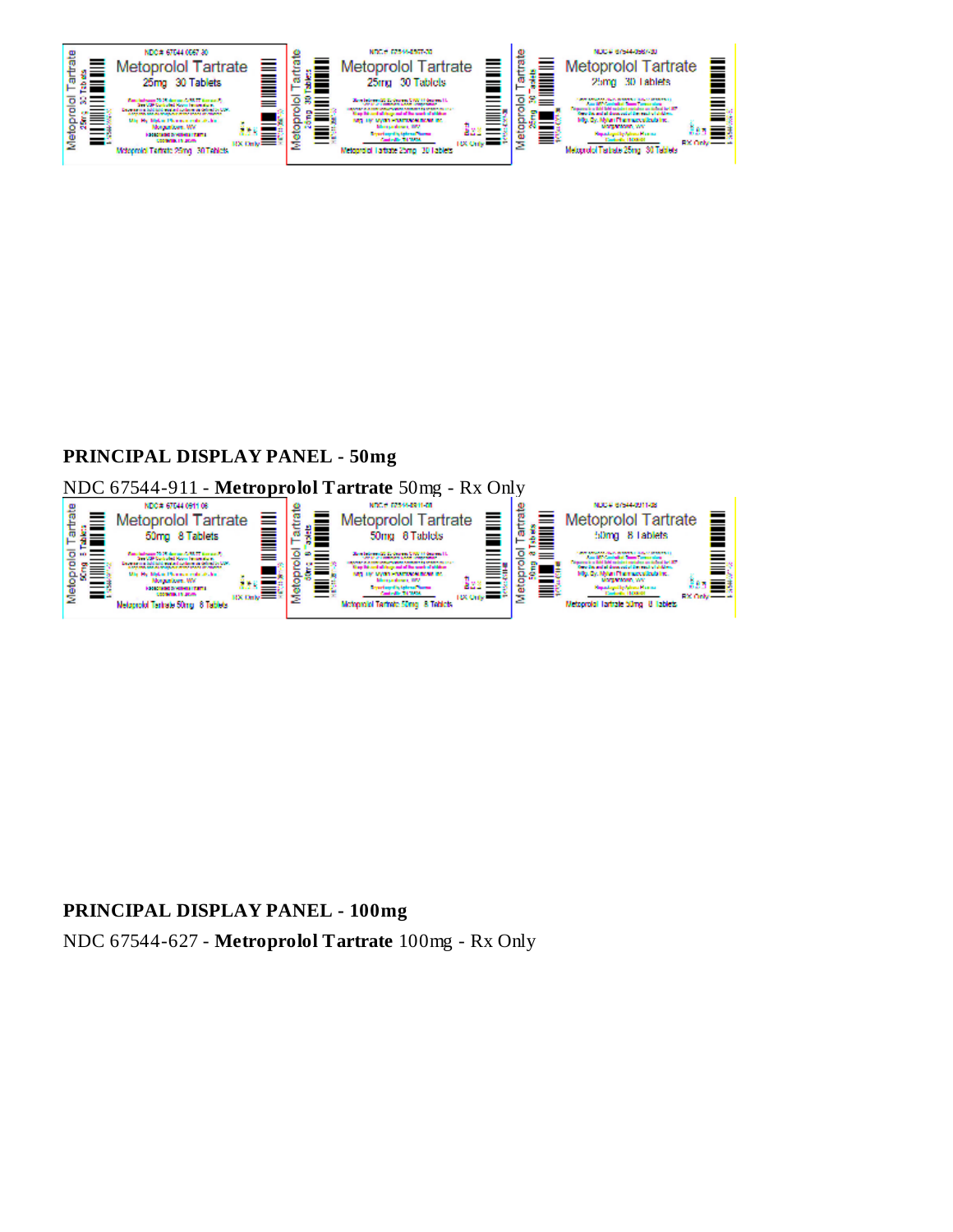**PRINCIPAL DISPLAY PANEL - 50mg** NDC 67544-911 - **Metroprolol Tartrate** 50mg - Rx Only

**PRINCIPAL DISPLAY PANEL - 100mg** NDC 67544-627 - **Metroprolol Tartrate** 100mg - Rx Only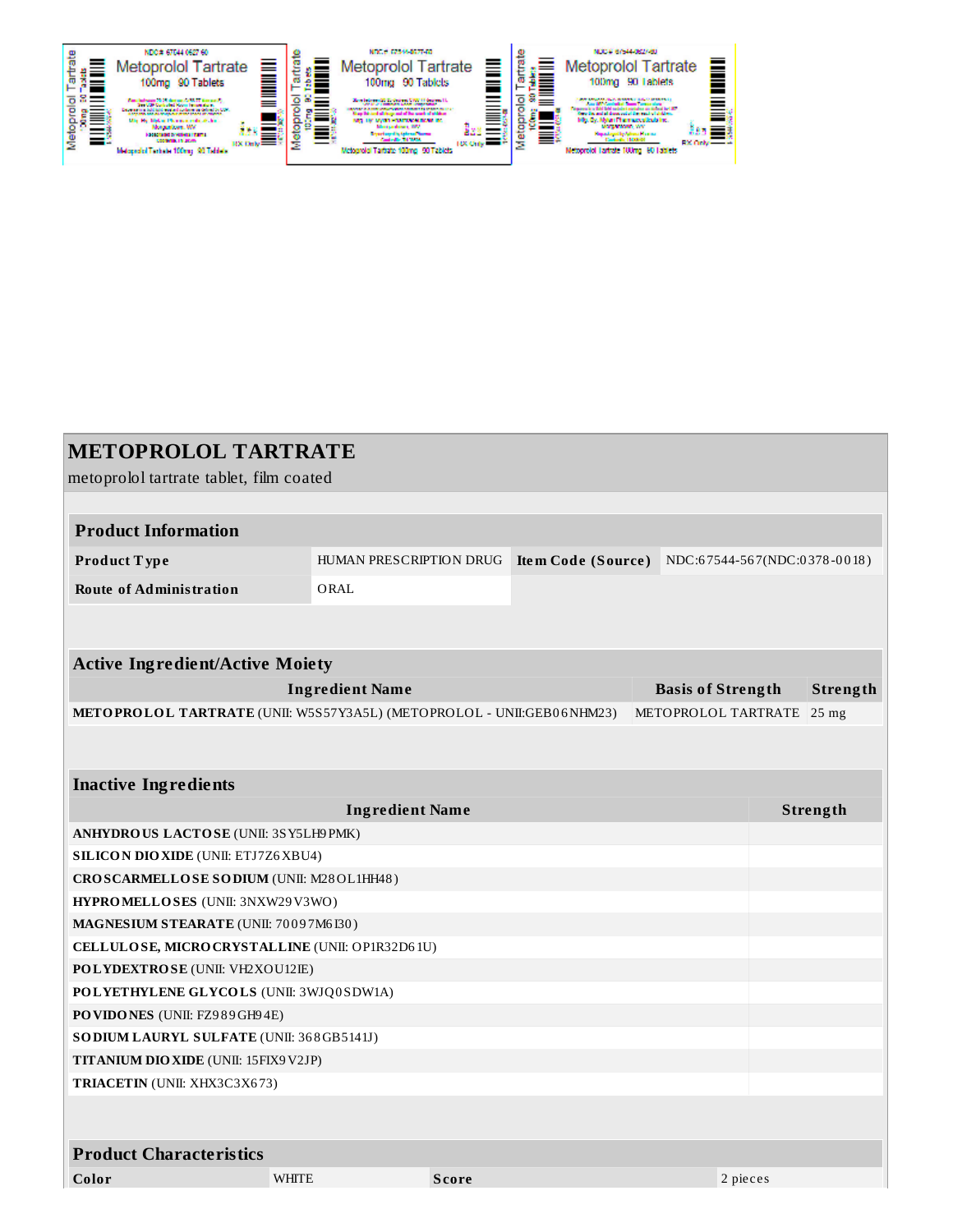| <b>METOPROLOL TARTRATE</b>                                                   |                         |              |                    |                          |                              |          |
|------------------------------------------------------------------------------|-------------------------|--------------|--------------------|--------------------------|------------------------------|----------|
| metoprolol tartrate tablet, film coated                                      |                         |              |                    |                          |                              |          |
|                                                                              |                         |              |                    |                          |                              |          |
| <b>Product Information</b>                                                   |                         |              |                    |                          |                              |          |
| Product Type                                                                 | HUMAN PRESCRIPTION DRUG |              | Item Code (Source) |                          | NDC:67544-567(NDC:0378-0018) |          |
| <b>Route of Administration</b>                                               | ORAL                    |              |                    |                          |                              |          |
|                                                                              |                         |              |                    |                          |                              |          |
|                                                                              |                         |              |                    |                          |                              |          |
| <b>Active Ingredient/Active Moiety</b>                                       |                         |              |                    |                          |                              |          |
|                                                                              | <b>Ingredient Name</b>  |              |                    | <b>Basis of Strength</b> |                              | Strength |
| METOPROLOL TARTRATE (UNII: W5S57Y3A5L) (METOPROLOL - UNII:GEB06NHM23)        |                         |              |                    | METOPROLOL TARTRATE      |                              | $25$ mg  |
|                                                                              |                         |              |                    |                          |                              |          |
|                                                                              |                         |              |                    |                          |                              |          |
| <b>Inactive Ingredients</b>                                                  |                         |              |                    |                          |                              |          |
|                                                                              | <b>Ingredient Name</b>  |              |                    |                          |                              | Strength |
| ANHYDROUS LACTOSE (UNII: 3SY5LH9PMK)                                         |                         |              |                    |                          |                              |          |
| <b>SILICON DIO XIDE (UNII: ETJ7Z6 XBU4)</b>                                  |                         |              |                    |                          |                              |          |
| CROSCARMELLOSE SODIUM (UNII: M28OL1HH48)<br>HYPROMELLOSES (UNII: 3NXW29V3WO) |                         |              |                    |                          |                              |          |
| MAGNESIUM STEARATE (UNII: 70097M6I30)                                        |                         |              |                    |                          |                              |          |
| CELLULOSE, MICRO CRYSTALLINE (UNII: OP1R32D61U)                              |                         |              |                    |                          |                              |          |
| <b>POLYDEXTROSE</b> (UNII: VH2XOU12IE)                                       |                         |              |                    |                          |                              |          |
| POLYETHYLENE GLYCOLS (UNII: 3WJQ0SDW1A)                                      |                         |              |                    |                          |                              |          |
| PO VIDONES (UNII: FZ989GH94E)                                                |                         |              |                    |                          |                              |          |
| SO DIUM LAURYL SULFATE (UNII: 368GB5141J)                                    |                         |              |                    |                          |                              |          |
| TITANIUM DIO XIDE (UNII: 15FIX9 V2JP)                                        |                         |              |                    |                          |                              |          |
| TRIACETIN (UNII: XHX3C3X673)                                                 |                         |              |                    |                          |                              |          |
|                                                                              |                         |              |                    |                          |                              |          |
| <b>Product Characteristics</b>                                               |                         |              |                    |                          |                              |          |
| Color                                                                        | <b>WHITE</b>            | <b>Score</b> |                    |                          | 2 pieces                     |          |
|                                                                              |                         |              |                    |                          |                              |          |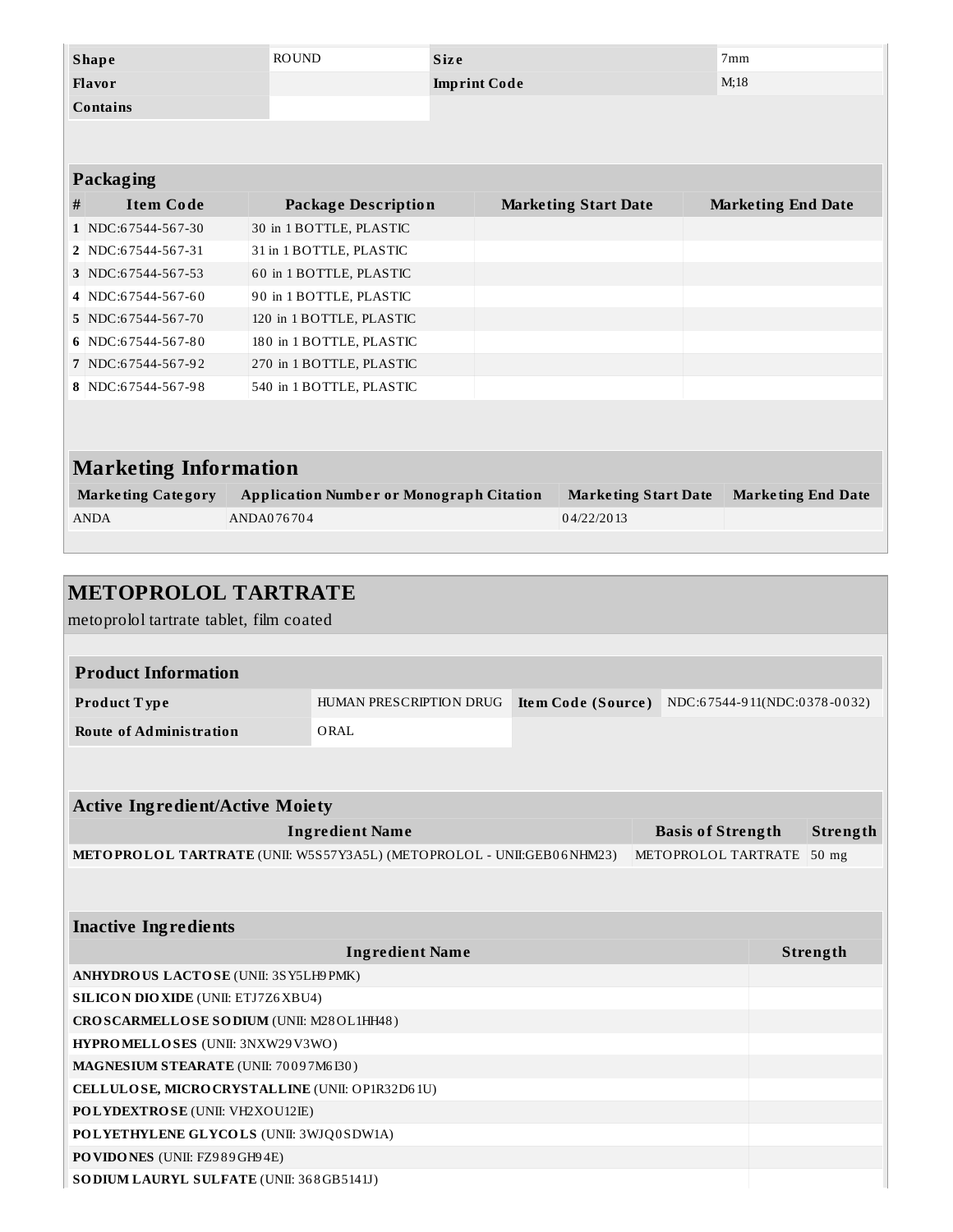| <b>Shape</b>                 | <b>ROUND</b>                                    | <b>Size</b>         |                             | 7 <sub>mm</sub>           |
|------------------------------|-------------------------------------------------|---------------------|-----------------------------|---------------------------|
| Flavor                       |                                                 | <b>Imprint Code</b> |                             | M:18                      |
| <b>Contains</b>              |                                                 |                     |                             |                           |
|                              |                                                 |                     |                             |                           |
|                              |                                                 |                     |                             |                           |
| <b>Packaging</b>             |                                                 |                     |                             |                           |
| #<br><b>Item Code</b>        | <b>Package Description</b>                      |                     | <b>Marketing Start Date</b> | <b>Marketing End Date</b> |
| 1 NDC:67544-567-30           | 30 in 1 BOTTLE, PLASTIC                         |                     |                             |                           |
| 2 NDC:67544-567-31           | 31 in 1 BOTTLE, PLASTIC                         |                     |                             |                           |
| 3 NDC:67544-567-53           | 60 in 1 BOTTLE, PLASTIC                         |                     |                             |                           |
| 4 NDC:67544-567-60           | 90 in 1 BOTTLE, PLASTIC                         |                     |                             |                           |
| 5 NDC:67544-567-70           | 120 in 1 BOTTLE, PLASTIC                        |                     |                             |                           |
| 6 NDC:67544-567-80           | 180 in 1 BOTTLE, PLASTIC                        |                     |                             |                           |
| 7 NDC:67544-567-92           | 270 in 1 BOTTLE, PLASTIC                        |                     |                             |                           |
| 8 NDC:67544-567-98           | 540 in 1 BOTTLE, PLASTIC                        |                     |                             |                           |
|                              |                                                 |                     |                             |                           |
|                              |                                                 |                     |                             |                           |
| <b>Marketing Information</b> |                                                 |                     |                             |                           |
| <b>Marketing Category</b>    | <b>Application Number or Monograph Citation</b> |                     | <b>Marketing Start Date</b> | <b>Marketing End Date</b> |
| <b>ANDA</b>                  | ANDA076704                                      |                     | 04/22/2013                  |                           |
|                              |                                                 |                     |                             |                           |
|                              |                                                 |                     |                             |                           |

| <b>METOPROLOL TARTRATE</b>                                            |                         |                    |                              |          |
|-----------------------------------------------------------------------|-------------------------|--------------------|------------------------------|----------|
| metoprolol tartrate tablet, film coated                               |                         |                    |                              |          |
|                                                                       |                         |                    |                              |          |
| <b>Product Information</b>                                            |                         |                    |                              |          |
| Product Type                                                          | HUMAN PRESCRIPTION DRUG | Item Code (Source) | NDC:67544-911(NDC:0378-0032) |          |
| <b>Route of Administration</b>                                        | ORAL                    |                    |                              |          |
|                                                                       |                         |                    |                              |          |
|                                                                       |                         |                    |                              |          |
| <b>Active Ingredient/Active Moiety</b>                                |                         |                    |                              |          |
|                                                                       | <b>Ingredient Name</b>  |                    | <b>Basis of Strength</b>     | Strength |
| METOPROLOL TARTRATE (UNII: W5S57Y3A5L) (METOPROLOL - UNII:GEB06NHM23) |                         |                    | METOPROLOL TARTRATE          | $50$ mg  |
|                                                                       |                         |                    |                              |          |
|                                                                       |                         |                    |                              |          |
| <b>Inactive Ingredients</b>                                           |                         |                    |                              |          |
|                                                                       | <b>Ingredient Name</b>  |                    |                              | Strength |
| ANHYDROUS LACTOSE (UNII: 3SY5LH9 PMK)                                 |                         |                    |                              |          |
| <b>SILICON DIO XIDE (UNII: ETJ7Z6 XBU4)</b>                           |                         |                    |                              |          |
| CROSCARMELLOSE SODIUM (UNII: M28OL1HH48)                              |                         |                    |                              |          |
| HYPROMELLOSES (UNII: 3NXW29V3WO)                                      |                         |                    |                              |          |
| MAGNESIUM STEARATE (UNII: 70097M6I30)                                 |                         |                    |                              |          |
| CELLULOSE, MICRO CRYSTALLINE (UNII: OP1R32D61U)                       |                         |                    |                              |          |
| POLYDEXTROSE (UNII: VH2XOU12IE)                                       |                         |                    |                              |          |

**POVIDONES** (UNII: FZ9 8 9GH9 4E)

**SODIUM LAURYL SULFATE** (UNII: 36 8GB5141J)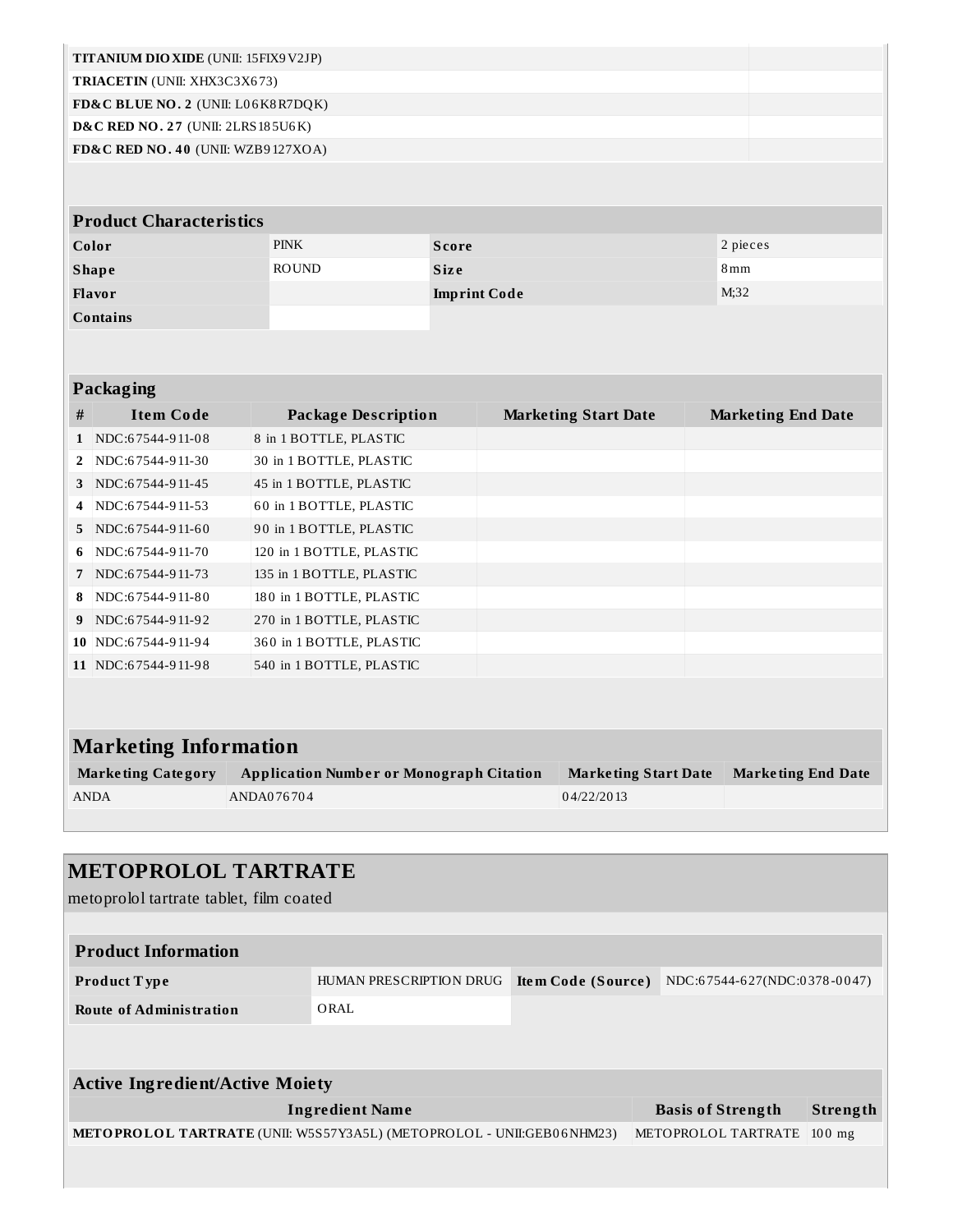| TITANIUM DIO XIDE (UNII: 15FIX9 V2JP)         |              |                     |                   |
|-----------------------------------------------|--------------|---------------------|-------------------|
| <b>TRIACETIN</b> (UNII: XHX3C3X673)           |              |                     |                   |
| FD&C BLUE NO. 2 (UNII: L06K8R7DQK)            |              |                     |                   |
| <b>D&amp;C RED NO. 27 (UNII: 2LRS 185U6K)</b> |              |                     |                   |
| FD&C RED NO. 40 (UNII: WZB9127XOA)            |              |                     |                   |
|                                               |              |                     |                   |
| <b>Product Characteristics</b>                |              |                     |                   |
| Color                                         | <b>PINK</b>  | <b>Score</b>        | 2 pieces          |
| <b>Shape</b>                                  | <b>ROUND</b> | <b>Size</b>         | $8 \,\mathrm{mm}$ |
| Flavor                                        |              | <b>Imprint Code</b> | M;32              |
| Contains                                      |              |                     |                   |
|                                               |              |                     |                   |
|                                               |              |                     |                   |

## **Packaging**

| #              | <b>Item Code</b>    | <b>Package Description</b> | <b>Marketing Start Date</b> | <b>Marketing End Date</b> |
|----------------|---------------------|----------------------------|-----------------------------|---------------------------|
|                | NDC:67544-911-08    | 8 in 1 BOTTLE, PLASTIC     |                             |                           |
| $2^{\circ}$    | NDC:67544-911-30    | 30 in 1 BOTTLE, PLASTIC    |                             |                           |
| 3              | NDC:67544-911-45    | 45 in 1 BOTTLE, PLASTIC    |                             |                           |
| $\overline{4}$ | NDC:67544-911-53    | 60 in 1 BOTTLE, PLASTIC    |                             |                           |
| $5^{\circ}$    | NDC:67544-911-60    | 90 in 1 BOTTLE, PLASTIC    |                             |                           |
| 6              | NDC:67544-911-70    | 120 in 1 BOTTLE, PLASTIC   |                             |                           |
| $7^{\circ}$    | NDC:67544-911-73    | 135 in 1 BOTTLE, PLASTIC   |                             |                           |
| 8              | NDC:67544-911-80    | 180 in 1 BOTTLE, PLASTIC   |                             |                           |
| 9              | NDC:67544-911-92    | 270 in 1 BOTTLE, PLASTIC   |                             |                           |
|                | 10 NDC:67544-911-94 | 360 in 1 BOTTLE, PLASTIC   |                             |                           |
|                | 11 NDC:67544-911-98 | 540 in 1 BOTTLE, PLASTIC   |                             |                           |

# **Marketing Information**

| <b>Marketing Category</b> | <b>Application Number or Monograph Citation</b> | <b>Marketing Start Date</b> | Marketing End Date |
|---------------------------|-------------------------------------------------|-----------------------------|--------------------|
| <b>ANDA</b>               | ANDA076704                                      | 04/22/2013                  |                    |

| <b>METOPROLOL TARTRATE</b><br>metoprolol tartrate tablet, film coated |                         |                    |                              |          |
|-----------------------------------------------------------------------|-------------------------|--------------------|------------------------------|----------|
| <b>Product Information</b>                                            |                         |                    |                              |          |
| Product Type                                                          | HUMAN PRESCRIPTION DRUG | Item Code (Source) | NDC:67544-627(NDC:0378-0047) |          |
| <b>Route of Administration</b>                                        | ORAL                    |                    |                              |          |
|                                                                       |                         |                    |                              |          |
| <b>Active Ingredient/Active Moiety</b>                                |                         |                    |                              |          |
|                                                                       | <b>Ingredient Name</b>  |                    | <b>Basis of Strength</b>     | Strength |
| METOPROLOL TARTRATE (UNII: W5S57Y3A5L) (METOPROLOL - UNII:GEB06NHM23) |                         |                    | METOPROLOL TARTRATE          | $100$ mg |
|                                                                       |                         |                    |                              |          |